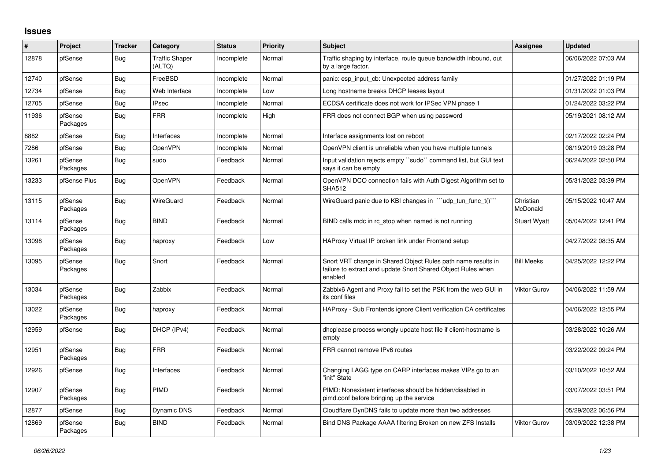## **Issues**

| #     | Project             | <b>Tracker</b> | Category                        | <b>Status</b> | <b>Priority</b> | <b>Subject</b>                                                                                                                          | <b>Assignee</b>       | <b>Updated</b>      |
|-------|---------------------|----------------|---------------------------------|---------------|-----------------|-----------------------------------------------------------------------------------------------------------------------------------------|-----------------------|---------------------|
| 12878 | pfSense             | Bug            | <b>Traffic Shaper</b><br>(ALTQ) | Incomplete    | Normal          | Traffic shaping by interface, route queue bandwidth inbound, out<br>by a large factor.                                                  |                       | 06/06/2022 07:03 AM |
| 12740 | pfSense             | Bug            | FreeBSD                         | Incomplete    | Normal          | panic: esp input cb: Unexpected address family                                                                                          |                       | 01/27/2022 01:19 PM |
| 12734 | pfSense             | Bug            | Web Interface                   | Incomplete    | Low             | Long hostname breaks DHCP leases layout                                                                                                 |                       | 01/31/2022 01:03 PM |
| 12705 | pfSense             | Bug            | <b>IPsec</b>                    | Incomplete    | Normal          | ECDSA certificate does not work for IPSec VPN phase 1                                                                                   |                       | 01/24/2022 03:22 PM |
| 11936 | pfSense<br>Packages | <b>Bug</b>     | <b>FRR</b>                      | Incomplete    | High            | FRR does not connect BGP when using password                                                                                            |                       | 05/19/2021 08:12 AM |
| 8882  | pfSense             | Bug            | Interfaces                      | Incomplete    | Normal          | Interface assignments lost on reboot                                                                                                    |                       | 02/17/2022 02:24 PM |
| 7286  | pfSense             | Bug            | <b>OpenVPN</b>                  | Incomplete    | Normal          | OpenVPN client is unreliable when you have multiple tunnels                                                                             |                       | 08/19/2019 03:28 PM |
| 13261 | pfSense<br>Packages | <b>Bug</b>     | sudo                            | Feedback      | Normal          | Input validation rejects empty "sudo" command list, but GUI text<br>says it can be empty                                                |                       | 06/24/2022 02:50 PM |
| 13233 | pfSense Plus        | Bug            | <b>OpenVPN</b>                  | Feedback      | Normal          | OpenVPN DCO connection fails with Auth Digest Algorithm set to<br><b>SHA512</b>                                                         |                       | 05/31/2022 03:39 PM |
| 13115 | pfSense<br>Packages | Bug            | WireGuard                       | Feedback      | Normal          | WireGuard panic due to KBI changes in "'udp_tun_func_t()'"                                                                              | Christian<br>McDonald | 05/15/2022 10:47 AM |
| 13114 | pfSense<br>Packages | <b>Bug</b>     | <b>BIND</b>                     | Feedback      | Normal          | BIND calls rndc in rc_stop when named is not running                                                                                    | <b>Stuart Wyatt</b>   | 05/04/2022 12:41 PM |
| 13098 | pfSense<br>Packages | <b>Bug</b>     | haproxy                         | Feedback      | Low             | HAProxy Virtual IP broken link under Frontend setup                                                                                     |                       | 04/27/2022 08:35 AM |
| 13095 | pfSense<br>Packages | Bug            | Snort                           | Feedback      | Normal          | Snort VRT change in Shared Object Rules path name results in<br>failure to extract and update Snort Shared Object Rules when<br>enabled | <b>Bill Meeks</b>     | 04/25/2022 12:22 PM |
| 13034 | pfSense<br>Packages | Bug            | Zabbix                          | Feedback      | Normal          | Zabbix6 Agent and Proxy fail to set the PSK from the web GUI in<br>its conf files                                                       | <b>Viktor Gurov</b>   | 04/06/2022 11:59 AM |
| 13022 | pfSense<br>Packages | Bug            | haproxy                         | Feedback      | Normal          | HAProxy - Sub Frontends ignore Client verification CA certificates                                                                      |                       | 04/06/2022 12:55 PM |
| 12959 | pfSense             | Bug            | DHCP (IPv4)                     | Feedback      | Normal          | dhcplease process wrongly update host file if client-hostname is<br>empty                                                               |                       | 03/28/2022 10:26 AM |
| 12951 | pfSense<br>Packages | Bug            | <b>FRR</b>                      | Feedback      | Normal          | FRR cannot remove IPv6 routes                                                                                                           |                       | 03/22/2022 09:24 PM |
| 12926 | pfSense             | Bug            | Interfaces                      | Feedback      | Normal          | Changing LAGG type on CARP interfaces makes VIPs go to an<br>"init" State                                                               |                       | 03/10/2022 10:52 AM |
| 12907 | pfSense<br>Packages | Bug            | PIMD                            | Feedback      | Normal          | PIMD: Nonexistent interfaces should be hidden/disabled in<br>pimd conf before bringing up the service                                   |                       | 03/07/2022 03:51 PM |
| 12877 | pfSense             | Bug            | Dynamic DNS                     | Feedback      | Normal          | Cloudflare DynDNS fails to update more than two addresses                                                                               |                       | 05/29/2022 06:56 PM |
| 12869 | pfSense<br>Packages | Bug            | <b>BIND</b>                     | Feedback      | Normal          | Bind DNS Package AAAA filtering Broken on new ZFS Installs                                                                              | <b>Viktor Gurov</b>   | 03/09/2022 12:38 PM |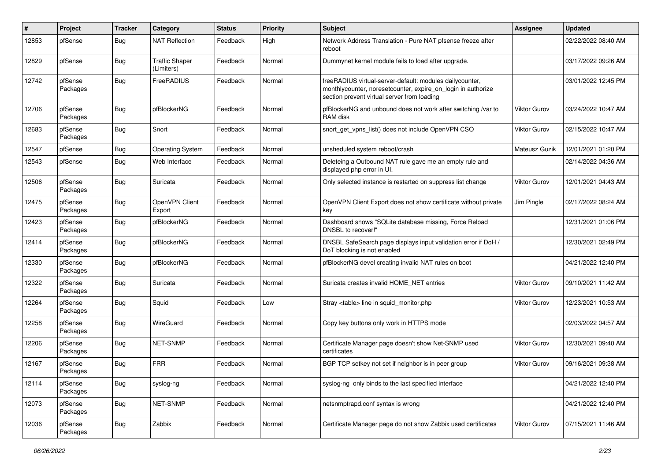| #     | Project             | <b>Tracker</b> | Category                            | <b>Status</b> | <b>Priority</b> | <b>Subject</b>                                                                                                                                                          | <b>Assignee</b>     | <b>Updated</b>      |
|-------|---------------------|----------------|-------------------------------------|---------------|-----------------|-------------------------------------------------------------------------------------------------------------------------------------------------------------------------|---------------------|---------------------|
| 12853 | pfSense             | Bug            | <b>NAT Reflection</b>               | Feedback      | High            | Network Address Translation - Pure NAT pfsense freeze after<br>reboot                                                                                                   |                     | 02/22/2022 08:40 AM |
| 12829 | pfSense             | Bug            | <b>Traffic Shaper</b><br>(Limiters) | Feedback      | Normal          | Dummynet kernel module fails to load after upgrade.                                                                                                                     |                     | 03/17/2022 09:26 AM |
| 12742 | pfSense<br>Packages | Bug            | FreeRADIUS                          | Feedback      | Normal          | freeRADIUS virtual-server-default: modules dailycounter,<br>monthlycounter, noresetcounter, expire_on_login in authorize<br>section prevent virtual server from loading |                     | 03/01/2022 12:45 PM |
| 12706 | pfSense<br>Packages | Bug            | pfBlockerNG                         | Feedback      | Normal          | pfBlockerNG and unbound does not work after switching /var to<br>RAM disk                                                                                               | <b>Viktor Gurov</b> | 03/24/2022 10:47 AM |
| 12683 | pfSense<br>Packages | Bug            | Snort                               | Feedback      | Normal          | snort get vpns list() does not include OpenVPN CSO                                                                                                                      | <b>Viktor Gurov</b> | 02/15/2022 10:47 AM |
| 12547 | pfSense             | Bug            | <b>Operating System</b>             | Feedback      | Normal          | unsheduled system reboot/crash                                                                                                                                          | Mateusz Guzik       | 12/01/2021 01:20 PM |
| 12543 | pfSense             | Bug            | Web Interface                       | Feedback      | Normal          | Deleteing a Outbound NAT rule gave me an empty rule and<br>displayed php error in UI.                                                                                   |                     | 02/14/2022 04:36 AM |
| 12506 | pfSense<br>Packages | Bug            | Suricata                            | Feedback      | Normal          | Only selected instance is restarted on suppress list change                                                                                                             | <b>Viktor Gurov</b> | 12/01/2021 04:43 AM |
| 12475 | pfSense<br>Packages | Bug            | OpenVPN Client<br>Export            | Feedback      | Normal          | OpenVPN Client Export does not show certificate without private<br>key                                                                                                  | Jim Pingle          | 02/17/2022 08:24 AM |
| 12423 | pfSense<br>Packages | Bug            | pfBlockerNG                         | Feedback      | Normal          | Dashboard shows "SQLite database missing, Force Reload<br>DNSBL to recover!"                                                                                            |                     | 12/31/2021 01:06 PM |
| 12414 | pfSense<br>Packages | Bug            | pfBlockerNG                         | Feedback      | Normal          | DNSBL SafeSearch page displays input validation error if DoH /<br>DoT blocking is not enabled                                                                           |                     | 12/30/2021 02:49 PM |
| 12330 | pfSense<br>Packages | Bug            | pfBlockerNG                         | Feedback      | Normal          | pfBlockerNG devel creating invalid NAT rules on boot                                                                                                                    |                     | 04/21/2022 12:40 PM |
| 12322 | pfSense<br>Packages | Bug            | Suricata                            | Feedback      | Normal          | Suricata creates invalid HOME_NET entries                                                                                                                               | <b>Viktor Gurov</b> | 09/10/2021 11:42 AM |
| 12264 | pfSense<br>Packages | <b>Bug</b>     | Squid                               | Feedback      | Low             | Stray <table> line in squid monitor.php</table>                                                                                                                         | Viktor Gurov        | 12/23/2021 10:53 AM |
| 12258 | pfSense<br>Packages | Bug            | WireGuard                           | Feedback      | Normal          | Copy key buttons only work in HTTPS mode                                                                                                                                |                     | 02/03/2022 04:57 AM |
| 12206 | pfSense<br>Packages | Bug            | NET-SNMP                            | Feedback      | Normal          | Certificate Manager page doesn't show Net-SNMP used<br>certificates                                                                                                     | <b>Viktor Gurov</b> | 12/30/2021 09:40 AM |
| 12167 | pfSense<br>Packages | Bug            | <b>FRR</b>                          | Feedback      | Normal          | BGP TCP setkey not set if neighbor is in peer group                                                                                                                     | <b>Viktor Gurov</b> | 09/16/2021 09:38 AM |
| 12114 | pfSense<br>Packages | Bug            | syslog-ng                           | Feedback      | Normal          | syslog-ng only binds to the last specified interface                                                                                                                    |                     | 04/21/2022 12:40 PM |
| 12073 | pfSense<br>Packages | <b>Bug</b>     | NET-SNMP                            | Feedback      | Normal          | netsnmptrapd.conf syntax is wrong                                                                                                                                       |                     | 04/21/2022 12:40 PM |
| 12036 | pfSense<br>Packages | <b>Bug</b>     | Zabbix                              | Feedback      | Normal          | Certificate Manager page do not show Zabbix used certificates                                                                                                           | Viktor Gurov        | 07/15/2021 11:46 AM |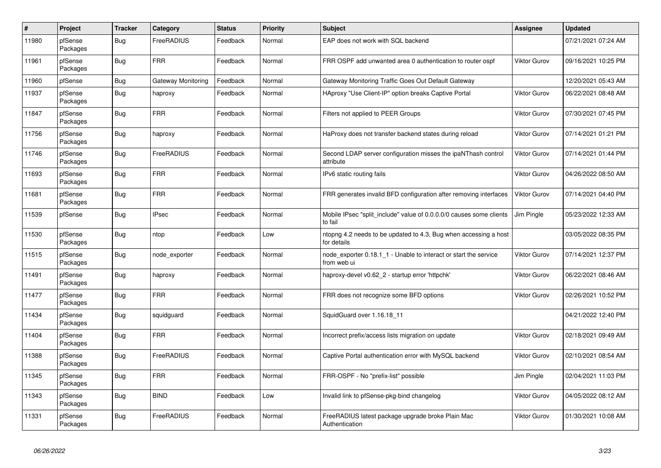| $\pmb{\#}$ | Project             | <b>Tracker</b> | Category           | <b>Status</b> | <b>Priority</b> | <b>Subject</b>                                                                  | <b>Assignee</b>     | <b>Updated</b>      |
|------------|---------------------|----------------|--------------------|---------------|-----------------|---------------------------------------------------------------------------------|---------------------|---------------------|
| 11980      | pfSense<br>Packages | Bug            | FreeRADIUS         | Feedback      | Normal          | EAP does not work with SQL backend                                              |                     | 07/21/2021 07:24 AM |
| 11961      | pfSense<br>Packages | <b>Bug</b>     | <b>FRR</b>         | Feedback      | Normal          | FRR OSPF add unwanted area 0 authentication to router ospf                      | Viktor Gurov        | 09/16/2021 10:25 PM |
| 11960      | pfSense             | <b>Bug</b>     | Gateway Monitoring | Feedback      | Normal          | Gateway Monitoring Traffic Goes Out Default Gateway                             |                     | 12/20/2021 05:43 AM |
| 11937      | pfSense<br>Packages | <b>Bug</b>     | haproxy            | Feedback      | Normal          | HAproxy "Use Client-IP" option breaks Captive Portal                            | Viktor Gurov        | 06/22/2021 08:48 AM |
| 11847      | pfSense<br>Packages | <b>Bug</b>     | <b>FRR</b>         | Feedback      | Normal          | Filters not applied to PEER Groups                                              | <b>Viktor Gurov</b> | 07/30/2021 07:45 PM |
| 11756      | pfSense<br>Packages | Bug            | haproxy            | Feedback      | Normal          | HaProxy does not transfer backend states during reload                          | Viktor Gurov        | 07/14/2021 01:21 PM |
| 11746      | pfSense<br>Packages | <b>Bug</b>     | FreeRADIUS         | Feedback      | Normal          | Second LDAP server configuration misses the ipaNThash control<br>attribute      | Viktor Gurov        | 07/14/2021 01:44 PM |
| 11693      | pfSense<br>Packages | <b>Bug</b>     | <b>FRR</b>         | Feedback      | Normal          | IPv6 static routing fails                                                       | <b>Viktor Gurov</b> | 04/26/2022 08:50 AM |
| 11681      | pfSense<br>Packages | <b>Bug</b>     | <b>FRR</b>         | Feedback      | Normal          | FRR generates invalid BFD configuration after removing interfaces               | Viktor Gurov        | 07/14/2021 04:40 PM |
| 11539      | pfSense             | <b>Bug</b>     | <b>IPsec</b>       | Feedback      | Normal          | Mobile IPsec "split include" value of 0.0.0.0/0 causes some clients<br>to fail  | Jim Pingle          | 05/23/2022 12:33 AM |
| 11530      | pfSense<br>Packages | <b>Bug</b>     | ntop               | Feedback      | Low             | ntopng 4.2 needs to be updated to 4.3, Bug when accessing a host<br>for details |                     | 03/05/2022 08:35 PM |
| 11515      | pfSense<br>Packages | <b>Bug</b>     | node exporter      | Feedback      | Normal          | node exporter 0.18.1 1 - Unable to interact or start the service<br>from web ui | Viktor Gurov        | 07/14/2021 12:37 PM |
| 11491      | pfSense<br>Packages | <b>Bug</b>     | haproxy            | Feedback      | Normal          | haproxy-devel v0.62 2 - startup error 'httpchk'                                 | Viktor Gurov        | 06/22/2021 08:46 AM |
| 11477      | pfSense<br>Packages | Bug            | <b>FRR</b>         | Feedback      | Normal          | FRR does not recognize some BFD options                                         | <b>Viktor Gurov</b> | 02/26/2021 10:52 PM |
| 11434      | pfSense<br>Packages | <b>Bug</b>     | squidguard         | Feedback      | Normal          | SquidGuard over 1.16.18 11                                                      |                     | 04/21/2022 12:40 PM |
| 11404      | pfSense<br>Packages | <b>Bug</b>     | <b>FRR</b>         | Feedback      | Normal          | Incorrect prefix/access lists migration on update                               | <b>Viktor Gurov</b> | 02/18/2021 09:49 AM |
| 11388      | pfSense<br>Packages | <b>Bug</b>     | FreeRADIUS         | Feedback      | Normal          | Captive Portal authentication error with MySQL backend                          | Viktor Gurov        | 02/10/2021 08:54 AM |
| 11345      | pfSense<br>Packages | <b>Bug</b>     | <b>FRR</b>         | Feedback      | Normal          | FRR-OSPF - No "prefix-list" possible                                            | Jim Pingle          | 02/04/2021 11:03 PM |
| 11343      | pfSense<br>Packages | <b>Bug</b>     | <b>BIND</b>        | Feedback      | Low             | Invalid link to pfSense-pkg-bind changelog                                      | Viktor Gurov        | 04/05/2022 08:12 AM |
| 11331      | pfSense<br>Packages | Bug            | FreeRADIUS         | Feedback      | Normal          | FreeRADIUS latest package upgrade broke Plain Mac<br>Authentication             | Viktor Gurov        | 01/30/2021 10:08 AM |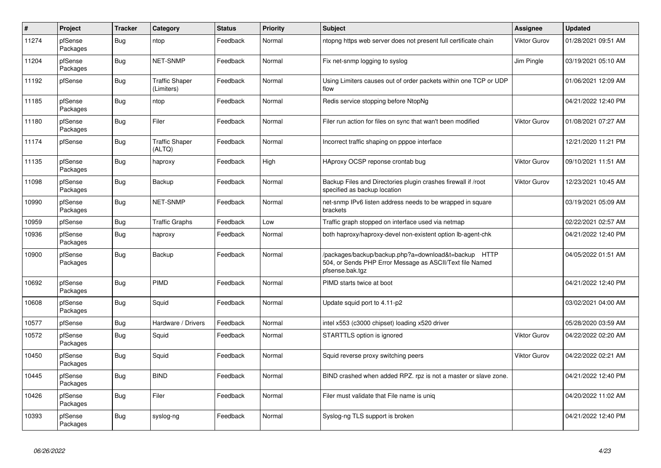| $\#$  | Project             | <b>Tracker</b> | Category                            | <b>Status</b> | <b>Priority</b> | <b>Subject</b>                                                                                                                      | Assignee            | <b>Updated</b>      |
|-------|---------------------|----------------|-------------------------------------|---------------|-----------------|-------------------------------------------------------------------------------------------------------------------------------------|---------------------|---------------------|
| 11274 | pfSense<br>Packages | Bug            | ntop                                | Feedback      | Normal          | ntopng https web server does not present full certificate chain                                                                     | Viktor Gurov        | 01/28/2021 09:51 AM |
| 11204 | pfSense<br>Packages | Bug            | NET-SNMP                            | Feedback      | Normal          | Fix net-snmp logging to syslog                                                                                                      | Jim Pingle          | 03/19/2021 05:10 AM |
| 11192 | pfSense             | Bug            | <b>Traffic Shaper</b><br>(Limiters) | Feedback      | Normal          | Using Limiters causes out of order packets within one TCP or UDP<br>flow                                                            |                     | 01/06/2021 12:09 AM |
| 11185 | pfSense<br>Packages | <b>Bug</b>     | ntop                                | Feedback      | Normal          | Redis service stopping before NtopNg                                                                                                |                     | 04/21/2022 12:40 PM |
| 11180 | pfSense<br>Packages | Bug            | Filer                               | Feedback      | Normal          | Filer run action for files on sync that wan't been modified                                                                         | Viktor Gurov        | 01/08/2021 07:27 AM |
| 11174 | pfSense             | <b>Bug</b>     | <b>Traffic Shaper</b><br>(ALTQ)     | Feedback      | Normal          | Incorrect traffic shaping on pppoe interface                                                                                        |                     | 12/21/2020 11:21 PM |
| 11135 | pfSense<br>Packages | Bug            | haproxy                             | Feedback      | High            | HAproxy OCSP reponse crontab bug                                                                                                    | Viktor Gurov        | 09/10/2021 11:51 AM |
| 11098 | pfSense<br>Packages | Bug            | Backup                              | Feedback      | Normal          | Backup Files and Directories plugin crashes firewall if /root<br>specified as backup location                                       | Viktor Gurov        | 12/23/2021 10:45 AM |
| 10990 | pfSense<br>Packages | <b>Bug</b>     | <b>NET-SNMP</b>                     | Feedback      | Normal          | net-snmp IPv6 listen address needs to be wrapped in square<br>brackets                                                              |                     | 03/19/2021 05:09 AM |
| 10959 | pfSense             | <b>Bug</b>     | <b>Traffic Graphs</b>               | Feedback      | Low             | Traffic graph stopped on interface used via netmap                                                                                  |                     | 02/22/2021 02:57 AM |
| 10936 | pfSense<br>Packages | Bug            | haproxy                             | Feedback      | Normal          | both haproxy/haproxy-devel non-existent option Ib-agent-chk                                                                         |                     | 04/21/2022 12:40 PM |
| 10900 | pfSense<br>Packages | Bug            | Backup                              | Feedback      | Normal          | /packages/backup/backup.php?a=download&t=backup HTTP<br>504, or Sends PHP Error Message as ASCII/Text file Named<br>pfsense.bak.tgz |                     | 04/05/2022 01:51 AM |
| 10692 | pfSense<br>Packages | Bug            | PIMD                                | Feedback      | Normal          | PIMD starts twice at boot                                                                                                           |                     | 04/21/2022 12:40 PM |
| 10608 | pfSense<br>Packages | Bug            | Squid                               | Feedback      | Normal          | Update squid port to 4.11-p2                                                                                                        |                     | 03/02/2021 04:00 AM |
| 10577 | pfSense             | Bug            | Hardware / Drivers                  | Feedback      | Normal          | intel x553 (c3000 chipset) loading x520 driver                                                                                      |                     | 05/28/2020 03:59 AM |
| 10572 | pfSense<br>Packages | Bug            | Squid                               | Feedback      | Normal          | STARTTLS option is ignored                                                                                                          | <b>Viktor Gurov</b> | 04/22/2022 02:20 AM |
| 10450 | pfSense<br>Packages | Bug            | Squid                               | Feedback      | Normal          | Squid reverse proxy switching peers                                                                                                 | Viktor Gurov        | 04/22/2022 02:21 AM |
| 10445 | pfSense<br>Packages | Bug            | <b>BIND</b>                         | Feedback      | Normal          | BIND crashed when added RPZ. rpz is not a master or slave zone.                                                                     |                     | 04/21/2022 12:40 PM |
| 10426 | pfSense<br>Packages | Bug            | Filer                               | Feedback      | Normal          | Filer must validate that File name is uniq                                                                                          |                     | 04/20/2022 11:02 AM |
| 10393 | pfSense<br>Packages | Bug            | syslog-ng                           | Feedback      | Normal          | Syslog-ng TLS support is broken                                                                                                     |                     | 04/21/2022 12:40 PM |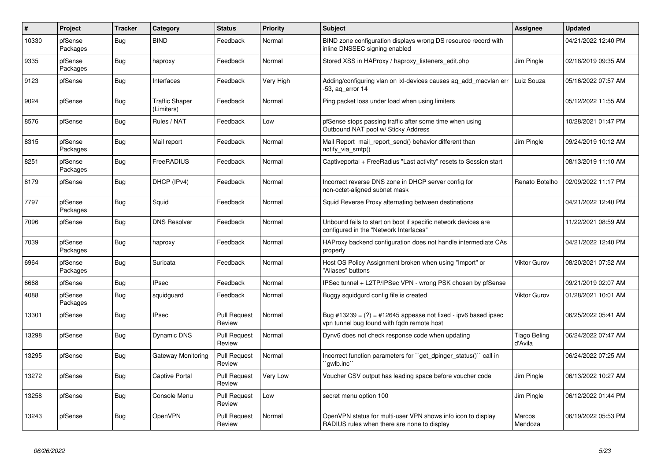| $\sharp$ | Project             | <b>Tracker</b> | Category                            | <b>Status</b>                 | <b>Priority</b> | <b>Subject</b>                                                                                                 | Assignee                       | <b>Updated</b>      |
|----------|---------------------|----------------|-------------------------------------|-------------------------------|-----------------|----------------------------------------------------------------------------------------------------------------|--------------------------------|---------------------|
| 10330    | pfSense<br>Packages | Bug            | <b>BIND</b>                         | Feedback                      | Normal          | BIND zone configuration displays wrong DS resource record with<br>inline DNSSEC signing enabled                |                                | 04/21/2022 12:40 PM |
| 9335     | pfSense<br>Packages | Bug            | haproxy                             | Feedback                      | Normal          | Stored XSS in HAProxy / haproxy_listeners_edit.php                                                             | Jim Pingle                     | 02/18/2019 09:35 AM |
| 9123     | pfSense             | Bug            | Interfaces                          | Feedback                      | Very High       | Adding/configuring vlan on ixl-devices causes aq_add_macvlan err<br>-53, ag error 14                           | Luiz Souza                     | 05/16/2022 07:57 AM |
| 9024     | pfSense             | Bug            | <b>Traffic Shaper</b><br>(Limiters) | Feedback                      | Normal          | Ping packet loss under load when using limiters                                                                |                                | 05/12/2022 11:55 AM |
| 8576     | pfSense             | Bug            | Rules / NAT                         | Feedback                      | Low             | pfSense stops passing traffic after some time when using<br>Outbound NAT pool w/ Sticky Address                |                                | 10/28/2021 01:47 PM |
| 8315     | pfSense<br>Packages | Bug            | Mail report                         | Feedback                      | Normal          | Mail Report mail report send() behavior different than<br>notify_via_smtp()                                    | Jim Pingle                     | 09/24/2019 10:12 AM |
| 8251     | pfSense<br>Packages | Bug            | FreeRADIUS                          | Feedback                      | Normal          | Captiveportal + FreeRadius "Last activity" resets to Session start                                             |                                | 08/13/2019 11:10 AM |
| 8179     | pfSense             | Bug            | DHCP (IPv4)                         | Feedback                      | Normal          | Incorrect reverse DNS zone in DHCP server config for<br>non-octet-aligned subnet mask                          | Renato Botelho                 | 02/09/2022 11:17 PM |
| 7797     | pfSense<br>Packages | Bug            | Squid                               | Feedback                      | Normal          | Squid Reverse Proxy alternating between destinations                                                           |                                | 04/21/2022 12:40 PM |
| 7096     | pfSense             | <b>Bug</b>     | <b>DNS Resolver</b>                 | Feedback                      | Normal          | Unbound fails to start on boot if specific network devices are<br>configured in the "Network Interfaces"       |                                | 11/22/2021 08:59 AM |
| 7039     | pfSense<br>Packages | Bug            | haproxy                             | Feedback                      | Normal          | HAProxy backend configuration does not handle intermediate CAs<br>properly                                     |                                | 04/21/2022 12:40 PM |
| 6964     | pfSense<br>Packages | Bug            | Suricata                            | Feedback                      | Normal          | Host OS Policy Assignment broken when using "Import" or<br>'Aliases" buttons                                   | <b>Viktor Gurov</b>            | 08/20/2021 07:52 AM |
| 6668     | pfSense             | Bug            | <b>IPsec</b>                        | Feedback                      | Normal          | IPSec tunnel + L2TP/IPSec VPN - wrong PSK chosen by pfSense                                                    |                                | 09/21/2019 02:07 AM |
| 4088     | pfSense<br>Packages | Bug            | squidguard                          | Feedback                      | Normal          | Buggy squidgurd config file is created                                                                         | <b>Viktor Gurov</b>            | 01/28/2021 10:01 AM |
| 13301    | pfSense             | Bug            | <b>IPsec</b>                        | <b>Pull Request</b><br>Review | Normal          | Bug #13239 = $(?)$ = #12645 appease not fixed - ipv6 based ipsec<br>vpn tunnel bug found with fqdn remote host |                                | 06/25/2022 05:41 AM |
| 13298    | pfSense             | Bug            | Dynamic DNS                         | <b>Pull Request</b><br>Review | Normal          | Dynv6 does not check response code when updating                                                               | <b>Tiago Beling</b><br>d'Avila | 06/24/2022 07:47 AM |
| 13295    | pfSense             | Bug            | Gateway Monitoring                  | <b>Pull Request</b><br>Review | Normal          | Incorrect function parameters for "get_dpinger_status()" call in<br>`awlb.inc``                                |                                | 06/24/2022 07:25 AM |
| 13272    | pfSense             | Bug            | Captive Portal                      | <b>Pull Request</b><br>Review | Very Low        | Voucher CSV output has leading space before voucher code                                                       | Jim Pingle                     | 06/13/2022 10:27 AM |
| 13258    | pfSense             | Bug            | Console Menu                        | <b>Pull Request</b><br>Review | Low             | secret menu option 100                                                                                         | Jim Pingle                     | 06/12/2022 01:44 PM |
| 13243    | pfSense             | Bug            | <b>OpenVPN</b>                      | <b>Pull Request</b><br>Review | Normal          | OpenVPN status for multi-user VPN shows info icon to display<br>RADIUS rules when there are none to display    | Marcos<br>Mendoza              | 06/19/2022 05:53 PM |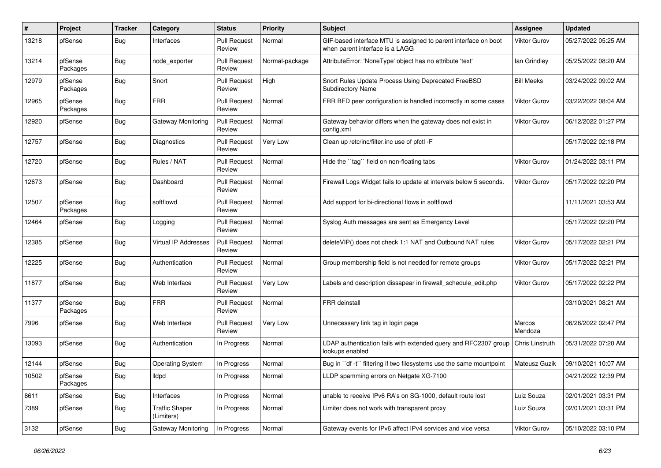| $\#$  | Project             | <b>Tracker</b> | Category                            | <b>Status</b>                 | <b>Priority</b> | <b>Subject</b>                                                                                     | <b>Assignee</b>     | <b>Updated</b>      |
|-------|---------------------|----------------|-------------------------------------|-------------------------------|-----------------|----------------------------------------------------------------------------------------------------|---------------------|---------------------|
| 13218 | pfSense             | Bug            | Interfaces                          | <b>Pull Request</b><br>Review | Normal          | GIF-based interface MTU is assigned to parent interface on boot<br>when parent interface is a LAGG | <b>Viktor Gurov</b> | 05/27/2022 05:25 AM |
| 13214 | pfSense<br>Packages | Bug            | node exporter                       | <b>Pull Request</b><br>Review | Normal-package  | AttributeError: 'NoneType' object has no attribute 'text'                                          | lan Grindley        | 05/25/2022 08:20 AM |
| 12979 | pfSense<br>Packages | Bug            | Snort                               | <b>Pull Request</b><br>Review | High            | Snort Rules Update Process Using Deprecated FreeBSD<br><b>Subdirectory Name</b>                    | <b>Bill Meeks</b>   | 03/24/2022 09:02 AM |
| 12965 | pfSense<br>Packages | Bug            | <b>FRR</b>                          | <b>Pull Request</b><br>Review | Normal          | FRR BFD peer configuration is handled incorrectly in some cases                                    | <b>Viktor Gurov</b> | 03/22/2022 08:04 AM |
| 12920 | pfSense             | <b>Bug</b>     | Gateway Monitoring                  | <b>Pull Request</b><br>Review | Normal          | Gateway behavior differs when the gateway does not exist in<br>config.xml                          | <b>Viktor Gurov</b> | 06/12/2022 01:27 PM |
| 12757 | pfSense             | Bug            | Diagnostics                         | <b>Pull Request</b><br>Review | Very Low        | Clean up /etc/inc/filter.inc use of pfctl -F                                                       |                     | 05/17/2022 02:18 PM |
| 12720 | pfSense             | Bug            | Rules / NAT                         | <b>Pull Request</b><br>Review | Normal          | Hide the "tag" field on non-floating tabs                                                          | <b>Viktor Gurov</b> | 01/24/2022 03:11 PM |
| 12673 | pfSense             | Bug            | Dashboard                           | <b>Pull Request</b><br>Review | Normal          | Firewall Logs Widget fails to update at intervals below 5 seconds.                                 | <b>Viktor Gurov</b> | 05/17/2022 02:20 PM |
| 12507 | pfSense<br>Packages | <b>Bug</b>     | softflowd                           | <b>Pull Request</b><br>Review | Normal          | Add support for bi-directional flows in softflowd                                                  |                     | 11/11/2021 03:53 AM |
| 12464 | pfSense             | <b>Bug</b>     | Logging                             | <b>Pull Request</b><br>Review | Normal          | Syslog Auth messages are sent as Emergency Level                                                   |                     | 05/17/2022 02:20 PM |
| 12385 | pfSense             | <b>Bug</b>     | Virtual IP Addresses                | <b>Pull Request</b><br>Review | Normal          | deleteVIP() does not check 1:1 NAT and Outbound NAT rules                                          | <b>Viktor Gurov</b> | 05/17/2022 02:21 PM |
| 12225 | pfSense             | Bug            | Authentication                      | <b>Pull Request</b><br>Review | Normal          | Group membership field is not needed for remote groups                                             | <b>Viktor Gurov</b> | 05/17/2022 02:21 PM |
| 11877 | pfSense             | <b>Bug</b>     | Web Interface                       | <b>Pull Request</b><br>Review | Very Low        | Labels and description dissapear in firewall schedule edit.php                                     | Viktor Gurov        | 05/17/2022 02:22 PM |
| 11377 | pfSense<br>Packages | Bug            | <b>FRR</b>                          | <b>Pull Request</b><br>Review | Normal          | <b>FRR</b> deinstall                                                                               |                     | 03/10/2021 08:21 AM |
| 7996  | pfSense             | Bug            | Web Interface                       | <b>Pull Request</b><br>Review | Very Low        | Unnecessary link tag in login page                                                                 | Marcos<br>Mendoza   | 06/26/2022 02:47 PM |
| 13093 | pfSense             | <b>Bug</b>     | Authentication                      | In Progress                   | Normal          | LDAP authentication fails with extended query and RFC2307 group<br>lookups enabled                 | Chris Linstruth     | 05/31/2022 07:20 AM |
| 12144 | pfSense             | <b>Bug</b>     | <b>Operating System</b>             | In Progress                   | Normal          | Bug in "df -t" filtering if two filesystems use the same mountpoint                                | Mateusz Guzik       | 09/10/2021 10:07 AM |
| 10502 | pfSense<br>Packages | Bug            | lldpd                               | In Progress                   | Normal          | LLDP spamming errors on Netgate XG-7100                                                            |                     | 04/21/2022 12:39 PM |
| 8611  | pfSense             | <b>Bug</b>     | Interfaces                          | In Progress                   | Normal          | unable to receive IPv6 RA's on SG-1000, default route lost                                         | Luiz Souza          | 02/01/2021 03:31 PM |
| 7389  | pfSense             | <b>Bug</b>     | <b>Traffic Shaper</b><br>(Limiters) | In Progress                   | Normal          | Limiter does not work with transparent proxy                                                       | Luiz Souza          | 02/01/2021 03:31 PM |
| 3132  | pfSense             | <b>Bug</b>     | Gateway Monitoring                  | In Progress                   | Normal          | Gateway events for IPv6 affect IPv4 services and vice versa                                        | Viktor Gurov        | 05/10/2022 03:10 PM |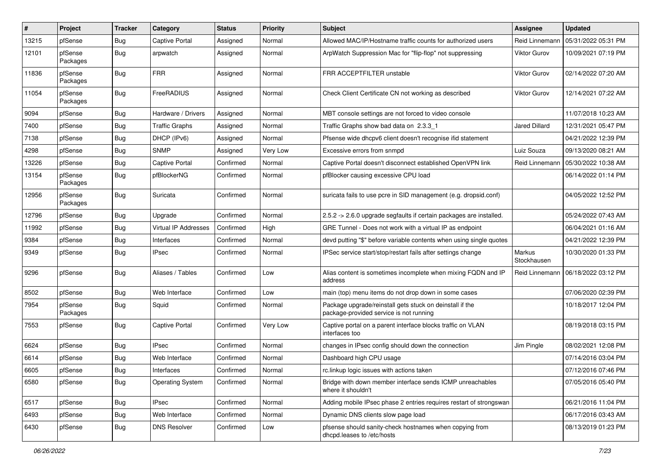| #     | Project             | <b>Tracker</b> | Category                    | <b>Status</b> | <b>Priority</b> | <b>Subject</b>                                                                                      | <b>Assignee</b>       | <b>Updated</b>      |
|-------|---------------------|----------------|-----------------------------|---------------|-----------------|-----------------------------------------------------------------------------------------------------|-----------------------|---------------------|
| 13215 | pfSense             | Bug            | <b>Captive Portal</b>       | Assigned      | Normal          | Allowed MAC/IP/Hostname traffic counts for authorized users                                         | Reid Linnemann        | 05/31/2022 05:31 PM |
| 12101 | pfSense<br>Packages | Bug            | arpwatch                    | Assigned      | Normal          | ArpWatch Suppression Mac for "flip-flop" not suppressing                                            | <b>Viktor Gurov</b>   | 10/09/2021 07:19 PM |
| 11836 | pfSense<br>Packages | Bug            | <b>FRR</b>                  | Assigned      | Normal          | FRR ACCEPTFILTER unstable                                                                           | <b>Viktor Gurov</b>   | 02/14/2022 07:20 AM |
| 11054 | pfSense<br>Packages | Bug            | FreeRADIUS                  | Assigned      | Normal          | Check Client Certificate CN not working as described                                                | <b>Viktor Gurov</b>   | 12/14/2021 07:22 AM |
| 9094  | pfSense             | Bug            | Hardware / Drivers          | Assigned      | Normal          | MBT console settings are not forced to video console                                                |                       | 11/07/2018 10:23 AM |
| 7400  | pfSense             | Bug            | <b>Traffic Graphs</b>       | Assigned      | Normal          | Traffic Graphs show bad data on 2.3.3 1                                                             | Jared Dillard         | 12/31/2021 05:47 PM |
| 7138  | pfSense             | Bug            | DHCP (IPv6)                 | Assigned      | Normal          | Pfsense wide dhcpv6 client doesn't recognise ifid statement                                         |                       | 04/21/2022 12:39 PM |
| 4298  | pfSense             | Bug            | <b>SNMP</b>                 | Assigned      | Very Low        | Excessive errors from snmpd                                                                         | Luiz Souza            | 09/13/2020 08:21 AM |
| 13226 | pfSense             | <b>Bug</b>     | <b>Captive Portal</b>       | Confirmed     | Normal          | Captive Portal doesn't disconnect established OpenVPN link                                          | Reid Linnemann        | 05/30/2022 10:38 AM |
| 13154 | pfSense<br>Packages | <b>Bug</b>     | pfBlockerNG                 | Confirmed     | Normal          | pfBlocker causing excessive CPU load                                                                |                       | 06/14/2022 01:14 PM |
| 12956 | pfSense<br>Packages | Bug            | Suricata                    | Confirmed     | Normal          | suricata fails to use pcre in SID management (e.g. dropsid.conf)                                    |                       | 04/05/2022 12:52 PM |
| 12796 | pfSense             | Bug            | Upgrade                     | Confirmed     | Normal          | 2.5.2 -> 2.6.0 upgrade segfaults if certain packages are installed.                                 |                       | 05/24/2022 07:43 AM |
| 11992 | pfSense             | Bug            | <b>Virtual IP Addresses</b> | Confirmed     | High            | GRE Tunnel - Does not work with a virtual IP as endpoint                                            |                       | 06/04/2021 01:16 AM |
| 9384  | pfSense             | Bug            | Interfaces                  | Confirmed     | Normal          | devd putting "\$" before variable contents when using single quotes                                 |                       | 04/21/2022 12:39 PM |
| 9349  | pfSense             | Bug            | <b>IPsec</b>                | Confirmed     | Normal          | IPSec service start/stop/restart fails after settings change                                        | Markus<br>Stockhausen | 10/30/2020 01:33 PM |
| 9296  | pfSense             | Bug            | Aliases / Tables            | Confirmed     | Low             | Alias content is sometimes incomplete when mixing FQDN and IP<br>address                            | Reid Linnemann        | 06/18/2022 03:12 PM |
| 8502  | pfSense             | <b>Bug</b>     | Web Interface               | Confirmed     | Low             | main (top) menu items do not drop down in some cases                                                |                       | 07/06/2020 02:39 PM |
| 7954  | pfSense<br>Packages | Bug            | Squid                       | Confirmed     | Normal          | Package upgrade/reinstall gets stuck on deinstall if the<br>package-provided service is not running |                       | 10/18/2017 12:04 PM |
| 7553  | pfSense             | <b>Bug</b>     | <b>Captive Portal</b>       | Confirmed     | Very Low        | Captive portal on a parent interface blocks traffic on VLAN<br>interfaces too                       |                       | 08/19/2018 03:15 PM |
| 6624  | pfSense             | Bug            | <b>IPsec</b>                | Confirmed     | Normal          | changes in IPsec config should down the connection                                                  | Jim Pingle            | 08/02/2021 12:08 PM |
| 6614  | pfSense             | Bug            | Web Interface               | Confirmed     | Normal          | Dashboard high CPU usage                                                                            |                       | 07/14/2016 03:04 PM |
| 6605  | pfSense             | Bug            | Interfaces                  | Confirmed     | Normal          | rc.linkup logic issues with actions taken                                                           |                       | 07/12/2016 07:46 PM |
| 6580  | pfSense             | <b>Bug</b>     | <b>Operating System</b>     | Confirmed     | Normal          | Bridge with down member interface sends ICMP unreachables<br>where it shouldn't                     |                       | 07/05/2016 05:40 PM |
| 6517  | pfSense             | <b>Bug</b>     | <b>IPsec</b>                | Confirmed     | Normal          | Adding mobile IPsec phase 2 entries requires restart of strongswan                                  |                       | 06/21/2016 11:04 PM |
| 6493  | pfSense             | <b>Bug</b>     | Web Interface               | Confirmed     | Normal          | Dynamic DNS clients slow page load                                                                  |                       | 06/17/2016 03:43 AM |
| 6430  | pfSense             | Bug            | <b>DNS Resolver</b>         | Confirmed     | Low             | pfsense should sanity-check hostnames when copying from<br>dhcpd.leases to /etc/hosts               |                       | 08/13/2019 01:23 PM |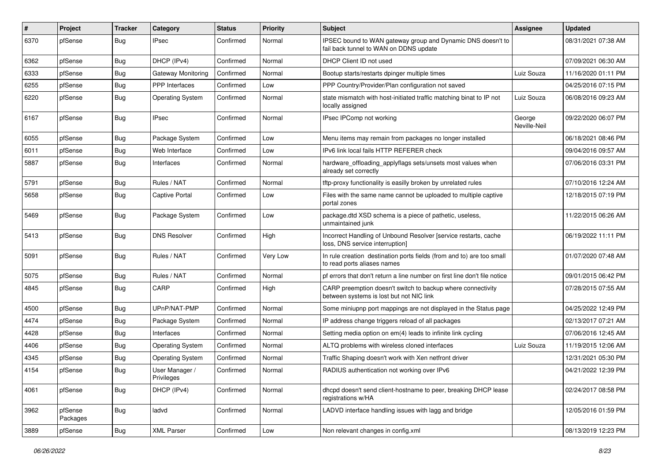| $\vert$ # | Project             | <b>Tracker</b> | Category                     | <b>Status</b> | <b>Priority</b> | <b>Subject</b>                                                                                          | <b>Assignee</b>        | <b>Updated</b>      |
|-----------|---------------------|----------------|------------------------------|---------------|-----------------|---------------------------------------------------------------------------------------------------------|------------------------|---------------------|
| 6370      | pfSense             | <b>Bug</b>     | <b>IPsec</b>                 | Confirmed     | Normal          | IPSEC bound to WAN gateway group and Dynamic DNS doesn't to<br>fail back tunnel to WAN on DDNS update   |                        | 08/31/2021 07:38 AM |
| 6362      | pfSense             | <b>Bug</b>     | DHCP (IPv4)                  | Confirmed     | Normal          | DHCP Client ID not used                                                                                 |                        | 07/09/2021 06:30 AM |
| 6333      | pfSense             | <b>Bug</b>     | Gateway Monitoring           | Confirmed     | Normal          | Bootup starts/restarts dpinger multiple times                                                           | Luiz Souza             | 11/16/2020 01:11 PM |
| 6255      | pfSense             | <b>Bug</b>     | PPP Interfaces               | Confirmed     | Low             | PPP Country/Provider/Plan configuration not saved                                                       |                        | 04/25/2016 07:15 PM |
| 6220      | pfSense             | <b>Bug</b>     | <b>Operating System</b>      | Confirmed     | Normal          | state mismatch with host-initiated traffic matching binat to IP not<br>locally assigned                 | Luiz Souza             | 06/08/2016 09:23 AM |
| 6167      | pfSense             | <b>Bug</b>     | <b>IPsec</b>                 | Confirmed     | Normal          | IPsec IPComp not working                                                                                | George<br>Neville-Neil | 09/22/2020 06:07 PM |
| 6055      | pfSense             | <b>Bug</b>     | Package System               | Confirmed     | Low             | Menu items may remain from packages no longer installed                                                 |                        | 06/18/2021 08:46 PM |
| 6011      | pfSense             | <b>Bug</b>     | Web Interface                | Confirmed     | Low             | IPv6 link local fails HTTP REFERER check                                                                |                        | 09/04/2016 09:57 AM |
| 5887      | pfSense             | <b>Bug</b>     | Interfaces                   | Confirmed     | Normal          | hardware_offloading_applyflags sets/unsets most values when<br>already set correctly                    |                        | 07/06/2016 03:31 PM |
| 5791      | pfSense             | Bug            | Rules / NAT                  | Confirmed     | Normal          | tftp-proxy functionality is easilly broken by unrelated rules                                           |                        | 07/10/2016 12:24 AM |
| 5658      | pfSense             | <b>Bug</b>     | <b>Captive Portal</b>        | Confirmed     | Low             | Files with the same name cannot be uploaded to multiple captive<br>portal zones                         |                        | 12/18/2015 07:19 PM |
| 5469      | pfSense             | Bug            | Package System               | Confirmed     | Low             | package.dtd XSD schema is a piece of pathetic, useless,<br>unmaintained junk                            |                        | 11/22/2015 06:26 AM |
| 5413      | pfSense             | Bug            | <b>DNS Resolver</b>          | Confirmed     | High            | Incorrect Handling of Unbound Resolver [service restarts, cache<br>loss, DNS service interruption]      |                        | 06/19/2022 11:11 PM |
| 5091      | pfSense             | Bug            | Rules / NAT                  | Confirmed     | Very Low        | In rule creation destination ports fields (from and to) are too small<br>to read ports aliases names    |                        | 01/07/2020 07:48 AM |
| 5075      | pfSense             | Bug            | Rules / NAT                  | Confirmed     | Normal          | pf errors that don't return a line number on first line don't file notice                               |                        | 09/01/2015 06:42 PM |
| 4845      | pfSense             | Bug            | CARP                         | Confirmed     | High            | CARP preemption doesn't switch to backup where connectivity<br>between systems is lost but not NIC link |                        | 07/28/2015 07:55 AM |
| 4500      | pfSense             | <b>Bug</b>     | UPnP/NAT-PMP                 | Confirmed     | Normal          | Some miniupnp port mappings are not displayed in the Status page                                        |                        | 04/25/2022 12:49 PM |
| 4474      | pfSense             | Bug            | Package System               | Confirmed     | Normal          | IP address change triggers reload of all packages                                                       |                        | 02/13/2017 07:21 AM |
| 4428      | pfSense             | Bug            | Interfaces                   | Confirmed     | Normal          | Setting media option on em(4) leads to infinite link cycling                                            |                        | 07/06/2016 12:45 AM |
| 4406      | pfSense             | Bug            | <b>Operating System</b>      | Confirmed     | Normal          | ALTQ problems with wireless cloned interfaces                                                           | Luiz Souza             | 11/19/2015 12:06 AM |
| 4345      | pfSense             | <b>Bug</b>     | <b>Operating System</b>      | Confirmed     | Normal          | Traffic Shaping doesn't work with Xen netfront driver                                                   |                        | 12/31/2021 05:30 PM |
| 4154      | pfSense             | Bug            | User Manager /<br>Privileges | Confirmed     | Normal          | RADIUS authentication not working over IPv6                                                             |                        | 04/21/2022 12:39 PM |
| 4061      | pfSense             | <b>Bug</b>     | DHCP (IPv4)                  | Confirmed     | Normal          | dhcpd doesn't send client-hostname to peer, breaking DHCP lease<br>registrations w/HA                   |                        | 02/24/2017 08:58 PM |
| 3962      | pfSense<br>Packages | <b>Bug</b>     | ladvd                        | Confirmed     | Normal          | LADVD interface handling issues with lagg and bridge                                                    |                        | 12/05/2016 01:59 PM |
| 3889      | pfSense             | <b>Bug</b>     | <b>XML Parser</b>            | Confirmed     | Low             | Non relevant changes in config.xml                                                                      |                        | 08/13/2019 12:23 PM |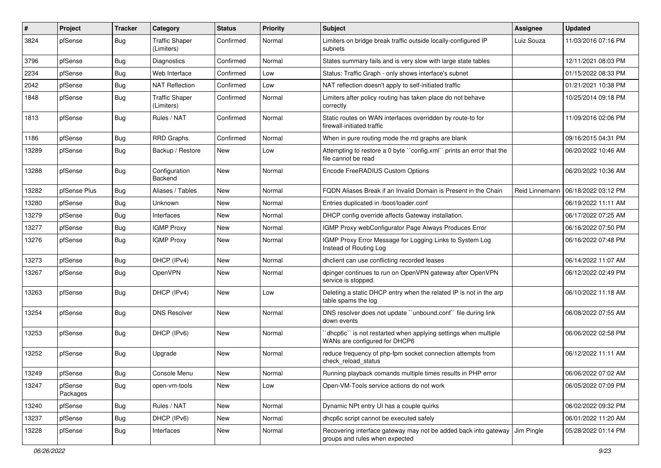| #     | Project             | <b>Tracker</b> | Category                            | <b>Status</b> | <b>Priority</b> | <b>Subject</b>                                                                                    | <b>Assignee</b> | <b>Updated</b>      |
|-------|---------------------|----------------|-------------------------------------|---------------|-----------------|---------------------------------------------------------------------------------------------------|-----------------|---------------------|
| 3824  | pfSense             | Bug            | <b>Traffic Shaper</b><br>(Limiters) | Confirmed     | Normal          | Limiters on bridge break traffic outside locally-configured IP<br>subnets                         | Luiz Souza      | 11/03/2016 07:16 PM |
| 3796  | pfSense             | <b>Bug</b>     | Diagnostics                         | Confirmed     | Normal          | States summary fails and is very slow with large state tables                                     |                 | 12/11/2021 08:03 PM |
| 2234  | pfSense             | <b>Bug</b>     | Web Interface                       | Confirmed     | Low             | Status: Traffic Graph - only shows interface's subnet                                             |                 | 01/15/2022 08:33 PM |
| 2042  | pfSense             | Bug            | <b>NAT Reflection</b>               | Confirmed     | Low             | NAT reflection doesn't apply to self-initiated traffic                                            |                 | 01/21/2021 10:38 PM |
| 1848  | pfSense             | <b>Bug</b>     | <b>Traffic Shaper</b><br>(Limiters) | Confirmed     | Normal          | Limiters after policy routing has taken place do not behave<br>correctly                          |                 | 10/25/2014 09:18 PM |
| 1813  | pfSense             | Bug            | Rules / NAT                         | Confirmed     | Normal          | Static routes on WAN interfaces overridden by route-to for<br>firewall-initiated traffic          |                 | 11/09/2016 02:06 PM |
| 1186  | pfSense             | <b>Bug</b>     | <b>RRD Graphs</b>                   | Confirmed     | Normal          | When in pure routing mode the rrd graphs are blank                                                |                 | 09/16/2015 04:31 PM |
| 13289 | pfSense             | Bug            | Backup / Restore                    | New           | Low             | Attempting to restore a 0 byte "config.xml" prints an error that the<br>file cannot be read       |                 | 06/20/2022 10:46 AM |
| 13288 | pfSense             | <b>Bug</b>     | Configuration<br>Backend            | New           | Normal          | Encode FreeRADIUS Custom Options                                                                  |                 | 06/20/2022 10:36 AM |
| 13282 | pfSense Plus        | Bug            | Aliases / Tables                    | <b>New</b>    | Normal          | FODN Aliases Break if an Invalid Domain is Present in the Chain                                   | Reid Linnemann  | 06/18/2022 03:12 PM |
| 13280 | pfSense             | Bug            | Unknown                             | <b>New</b>    | Normal          | Entries duplicated in /boot/loader.conf                                                           |                 | 06/19/2022 11:11 AM |
| 13279 | pfSense             | <b>Bug</b>     | Interfaces                          | New           | Normal          | DHCP config override affects Gateway installation.                                                |                 | 06/17/2022 07:25 AM |
| 13277 | pfSense             | <b>Bug</b>     | <b>IGMP Proxy</b>                   | New           | Normal          | IGMP Proxy webConfigurator Page Always Produces Error                                             |                 | 06/16/2022 07:50 PM |
| 13276 | pfSense             | Bug            | <b>IGMP Proxy</b>                   | New           | Normal          | IGMP Proxy Error Message for Logging Links to System Log<br>Instead of Routing Log                |                 | 06/16/2022 07:48 PM |
| 13273 | pfSense             | <b>Bug</b>     | DHCP (IPv4)                         | New           | Normal          | dhclient can use conflicting recorded leases                                                      |                 | 06/14/2022 11:07 AM |
| 13267 | pfSense             | <b>Bug</b>     | OpenVPN                             | New           | Normal          | dpinger continues to run on OpenVPN gateway after OpenVPN<br>service is stopped.                  |                 | 06/12/2022 02:49 PM |
| 13263 | pfSense             | <b>Bug</b>     | DHCP (IPv4)                         | New           | Low             | Deleting a static DHCP entry when the related IP is not in the arp<br>table spams the log         |                 | 06/10/2022 11:18 AM |
| 13254 | pfSense             | Bug            | <b>DNS Resolver</b>                 | New           | Normal          | DNS resolver does not update "unbound.conf" file during link<br>down events                       |                 | 06/08/2022 07:55 AM |
| 13253 | pfSense             | Bug            | DHCP (IPv6)                         | New           | Normal          | `dhcp6c`` is not restarted when applying settings when multiple<br>WANs are configured for DHCP6  |                 | 06/06/2022 02:58 PM |
| 13252 | pfSense             | Bug            | Upgrade                             | New           | Normal          | reduce frequency of php-fpm socket connection attempts from<br>check reload status                |                 | 06/12/2022 11:11 AM |
| 13249 | pfSense             | Bug            | Console Menu                        | New           | Normal          | Running playback comands multiple times results in PHP error                                      |                 | 06/06/2022 07:02 AM |
| 13247 | pfSense<br>Packages | Bug            | open-vm-tools                       | New           | Low             | Open-VM-Tools service actions do not work                                                         |                 | 06/05/2022 07:09 PM |
| 13240 | pfSense             | <b>Bug</b>     | Rules / NAT                         | New           | Normal          | Dynamic NPt entry UI has a couple quirks                                                          |                 | 06/02/2022 09:32 PM |
| 13237 | pfSense             | <b>Bug</b>     | DHCP (IPv6)                         | New           | Normal          | dhcp6c script cannot be executed safely                                                           |                 | 06/01/2022 11:20 AM |
| 13228 | pfSense             | <b>Bug</b>     | Interfaces                          | New           | Normal          | Recovering interface gateway may not be added back into gateway<br>groups and rules when expected | Jim Pingle      | 05/28/2022 01:14 PM |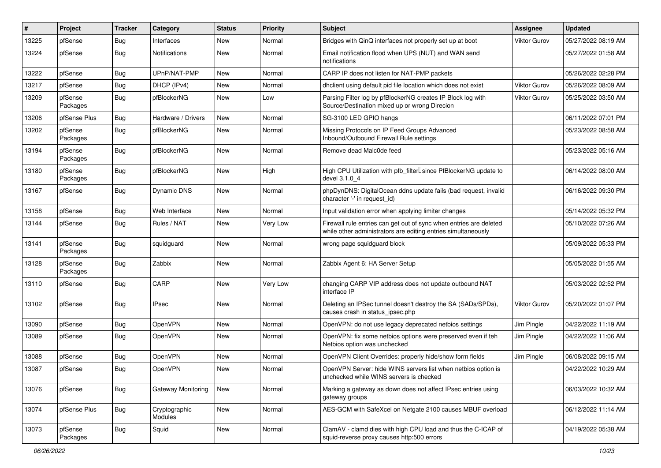| #     | Project             | <b>Tracker</b> | Category                 | <b>Status</b> | <b>Priority</b> | <b>Subject</b>                                                                                                                      | <b>Assignee</b>     | <b>Updated</b>      |
|-------|---------------------|----------------|--------------------------|---------------|-----------------|-------------------------------------------------------------------------------------------------------------------------------------|---------------------|---------------------|
| 13225 | pfSense             | <b>Bug</b>     | Interfaces               | New           | Normal          | Bridges with QinQ interfaces not properly set up at boot                                                                            | <b>Viktor Gurov</b> | 05/27/2022 08:19 AM |
| 13224 | pfSense             | <b>Bug</b>     | Notifications            | New           | Normal          | Email notification flood when UPS (NUT) and WAN send<br>notifications                                                               |                     | 05/27/2022 01:58 AM |
| 13222 | pfSense             | Bug            | UPnP/NAT-PMP             | New           | Normal          | CARP IP does not listen for NAT-PMP packets                                                                                         |                     | 05/26/2022 02:28 PM |
| 13217 | pfSense             | <b>Bug</b>     | DHCP (IPv4)              | New           | Normal          | dhclient using default pid file location which does not exist                                                                       | <b>Viktor Gurov</b> | 05/26/2022 08:09 AM |
| 13209 | pfSense<br>Packages | Bug            | pfBlockerNG              | New           | Low             | Parsing Filter log by pfBlockerNG creates IP Block log with<br>Source/Destination mixed up or wrong Direcion                        | <b>Viktor Gurov</b> | 05/25/2022 03:50 AM |
| 13206 | pfSense Plus        | Bug            | Hardware / Drivers       | New           | Normal          | SG-3100 LED GPIO hangs                                                                                                              |                     | 06/11/2022 07:01 PM |
| 13202 | pfSense<br>Packages | Bug            | pfBlockerNG              | New           | Normal          | Missing Protocols on IP Feed Groups Advanced<br>Inbound/Outbound Firewall Rule settings                                             |                     | 05/23/2022 08:58 AM |
| 13194 | pfSense<br>Packages | Bug            | pfBlockerNG              | New           | Normal          | Remove dead Malc0de feed                                                                                                            |                     | 05/23/2022 05:16 AM |
| 13180 | pfSense<br>Packages | <b>Bug</b>     | pfBlockerNG              | New           | High            | High CPU Utilization with pfb_filterlsince PfBlockerNG update to<br>devel 3.1.0 4                                                   |                     | 06/14/2022 08:00 AM |
| 13167 | pfSense             | Bug            | Dynamic DNS              | New           | Normal          | phpDynDNS: DigitalOcean ddns update fails (bad request, invalid<br>character '-' in request id)                                     |                     | 06/16/2022 09:30 PM |
| 13158 | pfSense             | Bug            | Web Interface            | New           | Normal          | Input validation error when applying limiter changes                                                                                |                     | 05/14/2022 05:32 PM |
| 13144 | pfSense             | <b>Bug</b>     | Rules / NAT              | New           | Very Low        | Firewall rule entries can get out of sync when entries are deleted<br>while other administrators are editing entries simultaneously |                     | 05/10/2022 07:26 AM |
| 13141 | pfSense<br>Packages | Bug            | squidguard               | New           | Normal          | wrong page squidguard block                                                                                                         |                     | 05/09/2022 05:33 PM |
| 13128 | pfSense<br>Packages | <b>Bug</b>     | Zabbix                   | New           | Normal          | Zabbix Agent 6: HA Server Setup                                                                                                     |                     | 05/05/2022 01:55 AM |
| 13110 | pfSense             | Bug            | CARP                     | <b>New</b>    | Very Low        | changing CARP VIP address does not update outbound NAT<br>interface IP                                                              |                     | 05/03/2022 02:52 PM |
| 13102 | pfSense             | Bug            | <b>IPsec</b>             | New           | Normal          | Deleting an IPSec tunnel doesn't destroy the SA (SADs/SPDs),<br>causes crash in status_ipsec.php                                    | <b>Viktor Gurov</b> | 05/20/2022 01:07 PM |
| 13090 | pfSense             | Bug            | <b>OpenVPN</b>           | New           | Normal          | OpenVPN: do not use legacy deprecated netbios settings                                                                              | Jim Pingle          | 04/22/2022 11:19 AM |
| 13089 | pfSense             | Bug            | OpenVPN                  | New           | Normal          | OpenVPN: fix some netbios options were preserved even if teh<br>Netbios option was unchecked                                        | Jim Pingle          | 04/22/2022 11:06 AM |
| 13088 | pfSense             | <b>Bug</b>     | OpenVPN                  | New           | Normal          | OpenVPN Client Overrides: properly hide/show form fields                                                                            | Jim Pingle          | 06/08/2022 09:15 AM |
| 13087 | pfSense             | Bug            | OpenVPN                  | New           | Normal          | OpenVPN Server: hide WINS servers list when netbios option is<br>unchecked while WINS servers is checked                            |                     | 04/22/2022 10:29 AM |
| 13076 | pfSense             | Bug            | Gateway Monitoring       | New           | Normal          | Marking a gateway as down does not affect IPsec entries using<br>gateway groups                                                     |                     | 06/03/2022 10:32 AM |
| 13074 | pfSense Plus        | <b>Bug</b>     | Cryptographic<br>Modules | New           | Normal          | AES-GCM with SafeXcel on Netgate 2100 causes MBUF overload                                                                          |                     | 06/12/2022 11:14 AM |
| 13073 | pfSense<br>Packages | <b>Bug</b>     | Squid                    | New           | Normal          | ClamAV - clamd dies with high CPU load and thus the C-ICAP of<br>squid-reverse proxy causes http:500 errors                         |                     | 04/19/2022 05:38 AM |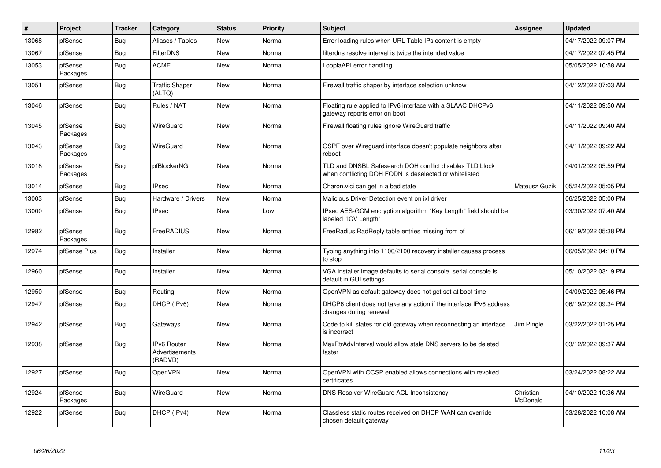| $\pmb{\#}$ | Project             | <b>Tracker</b> | Category                                               | <b>Status</b> | Priority | <b>Subject</b>                                                                                                     | Assignee              | <b>Updated</b>      |
|------------|---------------------|----------------|--------------------------------------------------------|---------------|----------|--------------------------------------------------------------------------------------------------------------------|-----------------------|---------------------|
| 13068      | pfSense             | Bug            | Aliases / Tables                                       | <b>New</b>    | Normal   | Error loading rules when URL Table IPs content is empty                                                            |                       | 04/17/2022 09:07 PM |
| 13067      | pfSense             | <b>Bug</b>     | <b>FilterDNS</b>                                       | <b>New</b>    | Normal   | filterdns resolve interval is twice the intended value                                                             |                       | 04/17/2022 07:45 PM |
| 13053      | pfSense<br>Packages | <b>Bug</b>     | <b>ACME</b>                                            | <b>New</b>    | Normal   | LoopiaAPI error handling                                                                                           |                       | 05/05/2022 10:58 AM |
| 13051      | pfSense             | <b>Bug</b>     | <b>Traffic Shaper</b><br>(ALTQ)                        | <b>New</b>    | Normal   | Firewall traffic shaper by interface selection unknow                                                              |                       | 04/12/2022 07:03 AM |
| 13046      | pfSense             | Bug            | Rules / NAT                                            | <b>New</b>    | Normal   | Floating rule applied to IPv6 interface with a SLAAC DHCPv6<br>gateway reports error on boot                       |                       | 04/11/2022 09:50 AM |
| 13045      | pfSense<br>Packages | <b>Bug</b>     | WireGuard                                              | <b>New</b>    | Normal   | Firewall floating rules ignore WireGuard traffic                                                                   |                       | 04/11/2022 09:40 AM |
| 13043      | pfSense<br>Packages | Bug            | <b>WireGuard</b>                                       | <b>New</b>    | Normal   | OSPF over Wireguard interface doesn't populate neighbors after<br>reboot                                           |                       | 04/11/2022 09:22 AM |
| 13018      | pfSense<br>Packages | <b>Bug</b>     | pfBlockerNG                                            | New           | Normal   | TLD and DNSBL Safesearch DOH conflict disables TLD block<br>when conflicting DOH FQDN is deselected or whitelisted |                       | 04/01/2022 05:59 PM |
| 13014      | pfSense             | Bug            | <b>IPsec</b>                                           | <b>New</b>    | Normal   | Charon.vici can get in a bad state                                                                                 | Mateusz Guzik         | 05/24/2022 05:05 PM |
| 13003      | pfSense             | <b>Bug</b>     | Hardware / Drivers                                     | New           | Normal   | Malicious Driver Detection event on ixl driver                                                                     |                       | 06/25/2022 05:00 PM |
| 13000      | pfSense             | <b>Bug</b>     | <b>IPsec</b>                                           | New           | Low      | IPsec AES-GCM encryption algorithm "Key Length" field should be<br>labeled "ICV Length"                            |                       | 03/30/2022 07:40 AM |
| 12982      | pfSense<br>Packages | Bug            | FreeRADIUS                                             | New           | Normal   | FreeRadius RadReply table entries missing from pf                                                                  |                       | 06/19/2022 05:38 PM |
| 12974      | pfSense Plus        | Bug            | Installer                                              | New           | Normal   | Typing anything into 1100/2100 recovery installer causes process<br>to stop                                        |                       | 06/05/2022 04:10 PM |
| 12960      | pfSense             | Bug            | Installer                                              | New           | Normal   | VGA installer image defaults to serial console, serial console is<br>default in GUI settings                       |                       | 05/10/2022 03:19 PM |
| 12950      | pfSense             | <b>Bug</b>     | Routing                                                | <b>New</b>    | Normal   | OpenVPN as default gateway does not get set at boot time                                                           |                       | 04/09/2022 05:46 PM |
| 12947      | pfSense             | Bug            | DHCP (IPv6)                                            | New           | Normal   | DHCP6 client does not take any action if the interface IPv6 address<br>changes during renewal                      |                       | 06/19/2022 09:34 PM |
| 12942      | pfSense             | Bug            | Gateways                                               | <b>New</b>    | Normal   | Code to kill states for old gateway when reconnecting an interface<br>is incorrect                                 | Jim Pingle            | 03/22/2022 01:25 PM |
| 12938      | pfSense             | Bug            | <b>IPv6 Router</b><br><b>Advertisements</b><br>(RADVD) | New           | Normal   | MaxRtrAdvInterval would allow stale DNS servers to be deleted<br>faster                                            |                       | 03/12/2022 09:37 AM |
| 12927      | pfSense             | <b>Bug</b>     | <b>OpenVPN</b>                                         | <b>New</b>    | Normal   | OpenVPN with OCSP enabled allows connections with revoked<br>certificates                                          |                       | 03/24/2022 08:22 AM |
| 12924      | pfSense<br>Packages | <b>Bug</b>     | <b>WireGuard</b>                                       | New           | Normal   | DNS Resolver WireGuard ACL Inconsistency                                                                           | Christian<br>McDonald | 04/10/2022 10:36 AM |
| 12922      | pfSense             | <b>Bug</b>     | DHCP (IPv4)                                            | New           | Normal   | Classless static routes received on DHCP WAN can override<br>chosen default gateway                                |                       | 03/28/2022 10:08 AM |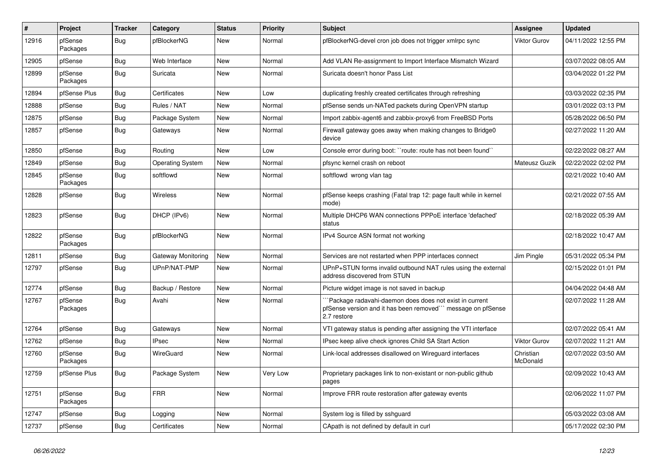| $\vert$ # | Project             | <b>Tracker</b> | Category                | <b>Status</b> | <b>Priority</b> | <b>Subject</b>                                                                                                                       | <b>Assignee</b>       | <b>Updated</b>      |
|-----------|---------------------|----------------|-------------------------|---------------|-----------------|--------------------------------------------------------------------------------------------------------------------------------------|-----------------------|---------------------|
| 12916     | pfSense<br>Packages | Bug            | pfBlockerNG             | New           | Normal          | pfBlockerNG-devel cron job does not trigger xmlrpc sync                                                                              | <b>Viktor Gurov</b>   | 04/11/2022 12:55 PM |
| 12905     | pfSense             | <b>Bug</b>     | Web Interface           | <b>New</b>    | Normal          | Add VLAN Re-assignment to Import Interface Mismatch Wizard                                                                           |                       | 03/07/2022 08:05 AM |
| 12899     | pfSense<br>Packages | <b>Bug</b>     | Suricata                | New           | Normal          | Suricata doesn't honor Pass List                                                                                                     |                       | 03/04/2022 01:22 PM |
| 12894     | pfSense Plus        | <b>Bug</b>     | Certificates            | <b>New</b>    | Low             | duplicating freshly created certificates through refreshing                                                                          |                       | 03/03/2022 02:35 PM |
| 12888     | pfSense             | <b>Bug</b>     | Rules / NAT             | <b>New</b>    | Normal          | pfSense sends un-NATed packets during OpenVPN startup                                                                                |                       | 03/01/2022 03:13 PM |
| 12875     | pfSense             | Bug            | Package System          | New           | Normal          | Import zabbix-agent6 and zabbix-proxy6 from FreeBSD Ports                                                                            |                       | 05/28/2022 06:50 PM |
| 12857     | pfSense             | <b>Bug</b>     | Gateways                | New           | Normal          | Firewall gateway goes away when making changes to Bridge0<br>device                                                                  |                       | 02/27/2022 11:20 AM |
| 12850     | pfSense             | <b>Bug</b>     | Routing                 | New           | Low             | Console error during boot: "route: route has not been found"                                                                         |                       | 02/22/2022 08:27 AM |
| 12849     | pfSense             | <b>Bug</b>     | <b>Operating System</b> | New           | Normal          | pfsync kernel crash on reboot                                                                                                        | Mateusz Guzik         | 02/22/2022 02:02 PM |
| 12845     | pfSense<br>Packages | <b>Bug</b>     | softflowd               | New           | Normal          | softflowd wrong vlan tag                                                                                                             |                       | 02/21/2022 10:40 AM |
| 12828     | pfSense             | <b>Bug</b>     | <b>Wireless</b>         | New           | Normal          | pfSense keeps crashing (Fatal trap 12: page fault while in kernel<br>mode)                                                           |                       | 02/21/2022 07:55 AM |
| 12823     | pfSense             | Bug            | DHCP (IPv6)             | <b>New</b>    | Normal          | Multiple DHCP6 WAN connections PPPoE interface 'defached'<br>status                                                                  |                       | 02/18/2022 05:39 AM |
| 12822     | pfSense<br>Packages | <b>Bug</b>     | pfBlockerNG             | New           | Normal          | IPv4 Source ASN format not working                                                                                                   |                       | 02/18/2022 10:47 AM |
| 12811     | pfSense             | Bug            | Gateway Monitoring      | <b>New</b>    | Normal          | Services are not restarted when PPP interfaces connect                                                                               | Jim Pingle            | 05/31/2022 05:34 PM |
| 12797     | pfSense             | Bug            | UPnP/NAT-PMP            | New           | Normal          | UPnP+STUN forms invalid outbound NAT rules using the external<br>address discovered from STUN                                        |                       | 02/15/2022 01:01 PM |
| 12774     | pfSense             | <b>Bug</b>     | Backup / Restore        | New           | Normal          | Picture widget image is not saved in backup                                                                                          |                       | 04/04/2022 04:48 AM |
| 12767     | pfSense<br>Packages | <b>Bug</b>     | Avahi                   | <b>New</b>    | Normal          | Package radavahi-daemon does does not exist in current<br>pfSense version and it has been removed" message on pfSense<br>2.7 restore |                       | 02/07/2022 11:28 AM |
| 12764     | pfSense             | Bug            | Gateways                | New           | Normal          | VTI gateway status is pending after assigning the VTI interface                                                                      |                       | 02/07/2022 05:41 AM |
| 12762     | pfSense             | <b>Bug</b>     | <b>IPsec</b>            | New           | Normal          | IPsec keep alive check ignores Child SA Start Action                                                                                 | <b>Viktor Gurov</b>   | 02/07/2022 11:21 AM |
| 12760     | pfSense<br>Packages | Bug            | <b>WireGuard</b>        | New           | Normal          | Link-local addresses disallowed on Wireguard interfaces                                                                              | Christian<br>McDonald | 02/07/2022 03:50 AM |
| 12759     | pfSense Plus        | <b>Bug</b>     | Package System          | <b>New</b>    | Very Low        | Proprietary packages link to non-existant or non-public github<br>pages                                                              |                       | 02/09/2022 10:43 AM |
| 12751     | pfSense<br>Packages | Bug            | <b>FRR</b>              | <b>New</b>    | Normal          | Improve FRR route restoration after gateway events                                                                                   |                       | 02/06/2022 11:07 PM |
| 12747     | pfSense             | <b>Bug</b>     | Logging                 | <b>New</b>    | Normal          | System log is filled by sshguard                                                                                                     |                       | 05/03/2022 03:08 AM |
| 12737     | pfSense             | Bug            | Certificates            | New           | Normal          | CApath is not defined by default in curl                                                                                             |                       | 05/17/2022 02:30 PM |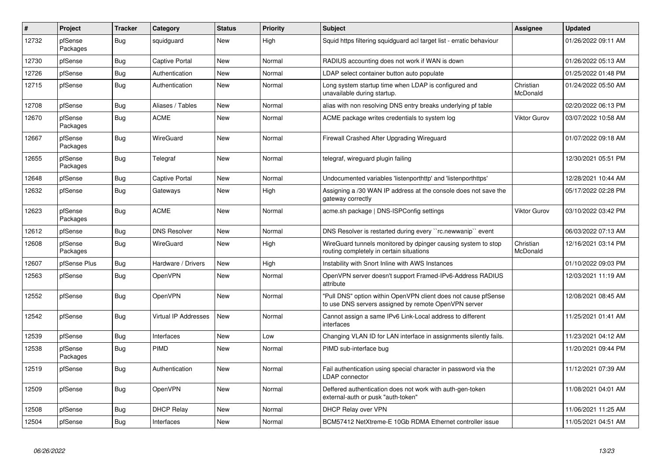| $\sharp$ | Project             | <b>Tracker</b> | Category             | <b>Status</b> | <b>Priority</b> | <b>Subject</b>                                                                                                         | Assignee              | <b>Updated</b>      |
|----------|---------------------|----------------|----------------------|---------------|-----------------|------------------------------------------------------------------------------------------------------------------------|-----------------------|---------------------|
| 12732    | pfSense<br>Packages | Bug            | squidguard           | <b>New</b>    | High            | Squid https filtering squidguard acl target list - erratic behaviour                                                   |                       | 01/26/2022 09:11 AM |
| 12730    | pfSense             | Bug            | Captive Portal       | New           | Normal          | RADIUS accounting does not work if WAN is down                                                                         |                       | 01/26/2022 05:13 AM |
| 12726    | pfSense             | Bug            | Authentication       | New           | Normal          | LDAP select container button auto populate                                                                             |                       | 01/25/2022 01:48 PM |
| 12715    | pfSense             | <b>Bug</b>     | Authentication       | <b>New</b>    | Normal          | Long system startup time when LDAP is configured and<br>unavailable during startup.                                    | Christian<br>McDonald | 01/24/2022 05:50 AM |
| 12708    | pfSense             | Bug            | Aliases / Tables     | <b>New</b>    | Normal          | alias with non resolving DNS entry breaks underlying pf table                                                          |                       | 02/20/2022 06:13 PM |
| 12670    | pfSense<br>Packages | <b>Bug</b>     | <b>ACME</b>          | New           | Normal          | ACME package writes credentials to system log                                                                          | <b>Viktor Gurov</b>   | 03/07/2022 10:58 AM |
| 12667    | pfSense<br>Packages | <b>Bug</b>     | WireGuard            | <b>New</b>    | Normal          | Firewall Crashed After Upgrading Wireguard                                                                             |                       | 01/07/2022 09:18 AM |
| 12655    | pfSense<br>Packages | <b>Bug</b>     | Telegraf             | New           | Normal          | telegraf, wireguard plugin failing                                                                                     |                       | 12/30/2021 05:51 PM |
| 12648    | pfSense             | <b>Bug</b>     | Captive Portal       | <b>New</b>    | Normal          | Undocumented variables 'listenporthttp' and 'listenporthttps'                                                          |                       | 12/28/2021 10:44 AM |
| 12632    | pfSense             | Bug            | Gateways             | New           | High            | Assigning a /30 WAN IP address at the console does not save the<br>gateway correctly                                   |                       | 05/17/2022 02:28 PM |
| 12623    | pfSense<br>Packages | Bug            | <b>ACME</b>          | <b>New</b>    | Normal          | acme.sh package   DNS-ISPConfig settings                                                                               | <b>Viktor Gurov</b>   | 03/10/2022 03:42 PM |
| 12612    | pfSense             | <b>Bug</b>     | <b>DNS Resolver</b>  | <b>New</b>    | Normal          | DNS Resolver is restarted during every "rc.newwanip" event                                                             |                       | 06/03/2022 07:13 AM |
| 12608    | pfSense<br>Packages | <b>Bug</b>     | WireGuard            | <b>New</b>    | High            | WireGuard tunnels monitored by dpinger causing system to stop<br>routing completely in certain situations              | Christian<br>McDonald | 12/16/2021 03:14 PM |
| 12607    | pfSense Plus        | <b>Bug</b>     | Hardware / Drivers   | <b>New</b>    | High            | Instability with Snort Inline with AWS Instances                                                                       |                       | 01/10/2022 09:03 PM |
| 12563    | pfSense             | Bug            | OpenVPN              | <b>New</b>    | Normal          | OpenVPN server doesn't support Framed-IPv6-Address RADIUS<br>attribute                                                 |                       | 12/03/2021 11:19 AM |
| 12552    | pfSense             | <b>Bug</b>     | OpenVPN              | <b>New</b>    | Normal          | "Pull DNS" option within OpenVPN client does not cause pfSense<br>to use DNS servers assigned by remote OpenVPN server |                       | 12/08/2021 08:45 AM |
| 12542    | pfSense             | <b>Bug</b>     | Virtual IP Addresses | <b>New</b>    | Normal          | Cannot assign a same IPv6 Link-Local address to different<br>interfaces                                                |                       | 11/25/2021 01:41 AM |
| 12539    | pfSense             | Bug            | Interfaces           | <b>New</b>    | Low             | Changing VLAN ID for LAN interface in assignments silently fails.                                                      |                       | 11/23/2021 04:12 AM |
| 12538    | pfSense<br>Packages | <b>Bug</b>     | PIMD                 | <b>New</b>    | Normal          | PIMD sub-interface bug                                                                                                 |                       | 11/20/2021 09:44 PM |
| 12519    | pfSense             | Bug            | Authentication       | <b>New</b>    | Normal          | Fail authentication using special character in password via the<br><b>LDAP</b> connector                               |                       | 11/12/2021 07:39 AM |
| 12509    | pfSense             | Bug            | OpenVPN              | <b>New</b>    | Normal          | Deffered authentication does not work with auth-gen-token<br>external-auth or pusk "auth-token"                        |                       | 11/08/2021 04:01 AM |
| 12508    | pfSense             | Bug            | <b>DHCP Relay</b>    | New           | Normal          | <b>DHCP Relay over VPN</b>                                                                                             |                       | 11/06/2021 11:25 AM |
| 12504    | pfSense             | Bug            | Interfaces           | New           | Normal          | BCM57412 NetXtreme-E 10Gb RDMA Ethernet controller issue                                                               |                       | 11/05/2021 04:51 AM |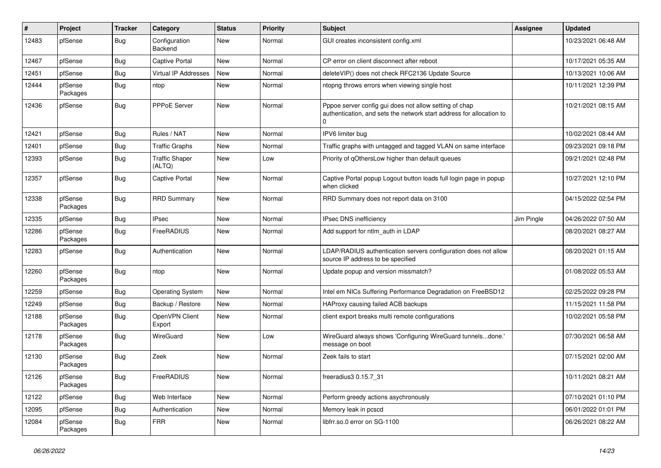| #     | Project             | <b>Tracker</b> | Category                        | <b>Status</b> | <b>Priority</b> | <b>Subject</b>                                                                                                                      | <b>Assignee</b> | <b>Updated</b>      |
|-------|---------------------|----------------|---------------------------------|---------------|-----------------|-------------------------------------------------------------------------------------------------------------------------------------|-----------------|---------------------|
| 12483 | pfSense             | Bug            | Configuration<br>Backend        | New           | Normal          | GUI creates inconsistent config.xml                                                                                                 |                 | 10/23/2021 06:48 AM |
| 12467 | pfSense             | <b>Bug</b>     | <b>Captive Portal</b>           | <b>New</b>    | Normal          | CP error on client disconnect after reboot                                                                                          |                 | 10/17/2021 05:35 AM |
| 12451 | pfSense             | Bug            | Virtual IP Addresses            | <b>New</b>    | Normal          | deleteVIP() does not check RFC2136 Update Source                                                                                    |                 | 10/13/2021 10:06 AM |
| 12444 | pfSense<br>Packages | Bug            | ntop                            | New           | Normal          | ntopng throws errors when viewing single host                                                                                       |                 | 10/11/2021 12:39 PM |
| 12436 | pfSense             | Bug            | <b>PPPoE Server</b>             | <b>New</b>    | Normal          | Pppoe server config gui does not allow setting of chap<br>authentication, and sets the network start address for allocation to<br>0 |                 | 10/21/2021 08:15 AM |
| 12421 | pfSense             | Bug            | Rules / NAT                     | <b>New</b>    | Normal          | IPV6 limiter bug                                                                                                                    |                 | 10/02/2021 08:44 AM |
| 12401 | pfSense             | Bug            | <b>Traffic Graphs</b>           | New           | Normal          | Traffic graphs with untagged and tagged VLAN on same interface                                                                      |                 | 09/23/2021 09:18 PM |
| 12393 | pfSense             | Bug            | <b>Traffic Shaper</b><br>(ALTQ) | New           | Low             | Priority of qOthersLow higher than default queues                                                                                   |                 | 09/21/2021 02:48 PM |
| 12357 | pfSense             | Bug            | <b>Captive Portal</b>           | New           | Normal          | Captive Portal popup Logout button loads full login page in popup<br>when clicked                                                   |                 | 10/27/2021 12:10 PM |
| 12338 | pfSense<br>Packages | <b>Bug</b>     | <b>RRD Summary</b>              | New           | Normal          | RRD Summary does not report data on 3100                                                                                            |                 | 04/15/2022 02:54 PM |
| 12335 | pfSense             | Bug            | <b>IPsec</b>                    | <b>New</b>    | Normal          | IPsec DNS inefficiency                                                                                                              | Jim Pingle      | 04/26/2022 07:50 AM |
| 12286 | pfSense<br>Packages | Bug            | FreeRADIUS                      | New           | Normal          | Add support for ntlm_auth in LDAP                                                                                                   |                 | 08/20/2021 08:27 AM |
| 12283 | pfSense             | Bug            | Authentication                  | <b>New</b>    | Normal          | LDAP/RADIUS authentication servers configuration does not allow<br>source IP address to be specified                                |                 | 08/20/2021 01:15 AM |
| 12260 | pfSense<br>Packages | Bug            | ntop                            | New           | Normal          | Update popup and version missmatch?                                                                                                 |                 | 01/08/2022 05:53 AM |
| 12259 | pfSense             | Bug            | <b>Operating System</b>         | New           | Normal          | Intel em NICs Suffering Performance Degradation on FreeBSD12                                                                        |                 | 02/25/2022 09:28 PM |
| 12249 | pfSense             | <b>Bug</b>     | Backup / Restore                | New           | Normal          | HAProxy causing failed ACB backups                                                                                                  |                 | 11/15/2021 11:58 PM |
| 12188 | pfSense<br>Packages | Bug            | OpenVPN Client<br>Export        | New           | Normal          | client export breaks multi remote configurations                                                                                    |                 | 10/02/2021 05:58 PM |
| 12178 | pfSense<br>Packages | Bug            | WireGuard                       | New           | Low             | WireGuard always shows 'Configuring WireGuard tunnelsdone.'<br>message on boot                                                      |                 | 07/30/2021 06:58 AM |
| 12130 | pfSense<br>Packages | Bug            | Zeek                            | New           | Normal          | Zeek fails to start                                                                                                                 |                 | 07/15/2021 02:00 AM |
| 12126 | pfSense<br>Packages | <b>Bug</b>     | FreeRADIUS                      | New           | Normal          | freeradius3 0.15.7_31                                                                                                               |                 | 10/11/2021 08:21 AM |
| 12122 | pfSense             | <b>Bug</b>     | Web Interface                   | New           | Normal          | Perform greedy actions asychronously                                                                                                |                 | 07/10/2021 01:10 PM |
| 12095 | pfSense             | <b>Bug</b>     | Authentication                  | New           | Normal          | Memory leak in pcscd                                                                                                                |                 | 06/01/2022 01:01 PM |
| 12084 | pfSense<br>Packages | <b>Bug</b>     | <b>FRR</b>                      | New           | Normal          | libfrr.so.0 error on SG-1100                                                                                                        |                 | 06/26/2021 08:22 AM |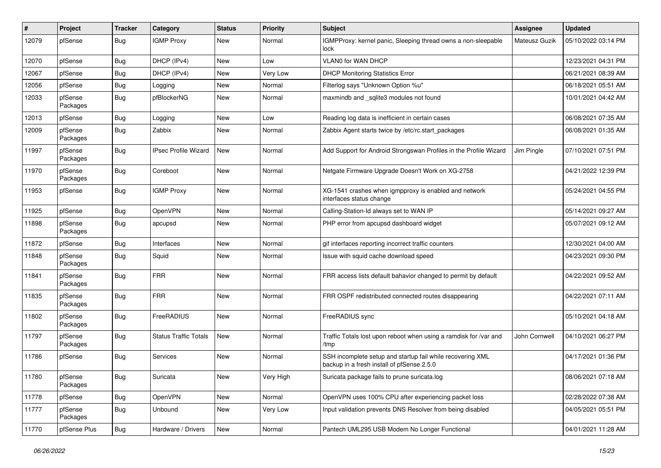| #     | Project             | <b>Tracker</b> | Category                     | <b>Status</b> | Priority  | <b>Subject</b>                                                                                           | <b>Assignee</b> | <b>Updated</b>      |
|-------|---------------------|----------------|------------------------------|---------------|-----------|----------------------------------------------------------------------------------------------------------|-----------------|---------------------|
| 12079 | pfSense             | Bug            | <b>IGMP Proxy</b>            | New           | Normal    | IGMPProxy: kernel panic, Sleeping thread owns a non-sleepable<br>lock                                    | Mateusz Guzik   | 05/10/2022 03:14 PM |
| 12070 | pfSense             | Bug            | DHCP (IPv4)                  | New           | Low       | <b>VLANO for WAN DHCP</b>                                                                                |                 | 12/23/2021 04:31 PM |
| 12067 | pfSense             | <b>Bug</b>     | DHCP (IPv4)                  | New           | Very Low  | <b>DHCP Monitoring Statistics Error</b>                                                                  |                 | 06/21/2021 08:39 AM |
| 12056 | pfSense             | <b>Bug</b>     | Logging                      | New           | Normal    | Filterlog says "Unknown Option %u"                                                                       |                 | 06/18/2021 05:51 AM |
| 12033 | pfSense<br>Packages | <b>Bug</b>     | pfBlockerNG                  | New           | Normal    | maxmindb and _sqlite3 modules not found                                                                  |                 | 10/01/2021 04:42 AM |
| 12013 | pfSense             | <b>Bug</b>     | Logging                      | New           | Low       | Reading log data is inefficient in certain cases                                                         |                 | 06/08/2021 07:35 AM |
| 12009 | pfSense<br>Packages | <b>Bug</b>     | Zabbix                       | New           | Normal    | Zabbix Agent starts twice by /etc/rc.start packages                                                      |                 | 06/08/2021 01:35 AM |
| 11997 | pfSense<br>Packages | <b>Bug</b>     | <b>IPsec Profile Wizard</b>  | New           | Normal    | Add Support for Android Strongswan Profiles in the Profile Wizard                                        | Jim Pingle      | 07/10/2021 07:51 PM |
| 11970 | pfSense<br>Packages | <b>Bug</b>     | Coreboot                     | <b>New</b>    | Normal    | Netgate Firmware Upgrade Doesn't Work on XG-2758                                                         |                 | 04/21/2022 12:39 PM |
| 11953 | pfSense             | Bug            | <b>IGMP Proxy</b>            | New           | Normal    | XG-1541 crashes when igmpproxy is enabled and network<br>interfaces status change                        |                 | 05/24/2021 04:55 PM |
| 11925 | pfSense             | <b>Bug</b>     | <b>OpenVPN</b>               | New           | Normal    | Calling-Station-Id always set to WAN IP                                                                  |                 | 05/14/2021 09:27 AM |
| 11898 | pfSense<br>Packages | Bug            | apcupsd                      | New           | Normal    | PHP error from apcupsd dashboard widget                                                                  |                 | 05/07/2021 09:12 AM |
| 11872 | pfSense             | <b>Bug</b>     | Interfaces                   | New           | Normal    | gif interfaces reporting incorrect traffic counters                                                      |                 | 12/30/2021 04:00 AM |
| 11848 | pfSense<br>Packages | <b>Bug</b>     | Squid                        | New           | Normal    | Issue with squid cache download speed                                                                    |                 | 04/23/2021 09:30 PM |
| 11841 | pfSense<br>Packages | <b>Bug</b>     | <b>FRR</b>                   | New           | Normal    | FRR access lists default bahavior changed to permit by default                                           |                 | 04/22/2021 09:52 AM |
| 11835 | pfSense<br>Packages | <b>Bug</b>     | <b>FRR</b>                   | New           | Normal    | FRR OSPF redistributed connected routes disappearing                                                     |                 | 04/22/2021 07:11 AM |
| 11802 | pfSense<br>Packages | <b>Bug</b>     | FreeRADIUS                   | New           | Normal    | FreeRADIUS sync                                                                                          |                 | 05/10/2021 04:18 AM |
| 11797 | pfSense<br>Packages | <b>Bug</b>     | <b>Status Traffic Totals</b> | <b>New</b>    | Normal    | Traffic Totals lost upon reboot when using a ramdisk for /var and<br>/tmp                                | John Cornwell   | 04/10/2021 06:27 PM |
| 11786 | pfSense             | <b>Bug</b>     | Services                     | New           | Normal    | SSH incomplete setup and startup fail while recovering XML<br>backup in a fresh install of pfSense 2.5.0 |                 | 04/17/2021 01:36 PM |
| 11780 | pfSense<br>Packages | <b>Bug</b>     | Suricata                     | New           | Very High | Suricata package fails to prune suricata.log                                                             |                 | 08/06/2021 07:18 AM |
| 11778 | pfSense             | Bug            | <b>OpenVPN</b>               | New           | Normal    | OpenVPN uses 100% CPU after experiencing packet loss                                                     |                 | 02/28/2022 07:38 AM |
| 11777 | pfSense<br>Packages | Bug            | Unbound                      | New           | Very Low  | Input validation prevents DNS Resolver from being disabled                                               |                 | 04/05/2021 05:51 PM |
| 11770 | pfSense Plus        | Bug            | Hardware / Drivers           | New           | Normal    | Pantech UML295 USB Modem No Longer Functional                                                            |                 | 04/01/2021 11:28 AM |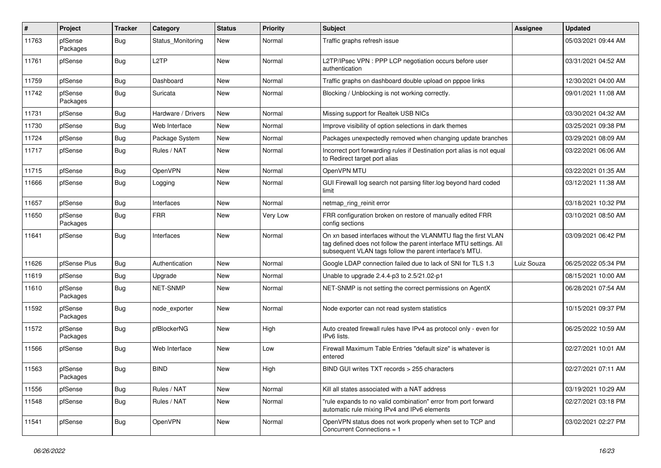| $\pmb{\#}$ | Project             | <b>Tracker</b> | Category           | <b>Status</b> | <b>Priority</b> | <b>Subject</b>                                                                                                                                                                                  | <b>Assignee</b> | <b>Updated</b>      |
|------------|---------------------|----------------|--------------------|---------------|-----------------|-------------------------------------------------------------------------------------------------------------------------------------------------------------------------------------------------|-----------------|---------------------|
| 11763      | pfSense<br>Packages | Bug            | Status Monitoring  | New           | Normal          | Traffic graphs refresh issue                                                                                                                                                                    |                 | 05/03/2021 09:44 AM |
| 11761      | pfSense             | Bug            | L <sub>2</sub> TP  | <b>New</b>    | Normal          | L2TP/IPsec VPN : PPP LCP negotiation occurs before user<br>authentication                                                                                                                       |                 | 03/31/2021 04:52 AM |
| 11759      | pfSense             | <b>Bug</b>     | Dashboard          | <b>New</b>    | Normal          | Traffic graphs on dashboard double upload on pppoe links                                                                                                                                        |                 | 12/30/2021 04:00 AM |
| 11742      | pfSense<br>Packages | <b>Bug</b>     | Suricata           | New           | Normal          | Blocking / Unblocking is not working correctly.                                                                                                                                                 |                 | 09/01/2021 11:08 AM |
| 11731      | pfSense             | Bug            | Hardware / Drivers | New           | Normal          | Missing support for Realtek USB NICs                                                                                                                                                            |                 | 03/30/2021 04:32 AM |
| 11730      | pfSense             | Bug            | Web Interface      | New           | Normal          | Improve visibility of option selections in dark themes                                                                                                                                          |                 | 03/25/2021 09:38 PM |
| 11724      | pfSense             | Bug            | Package System     | New           | Normal          | Packages unexpectedly removed when changing update branches                                                                                                                                     |                 | 03/29/2021 08:09 AM |
| 11717      | pfSense             | <b>Bug</b>     | Rules / NAT        | New           | Normal          | Incorrect port forwarding rules if Destination port alias is not equal<br>to Redirect target port alias                                                                                         |                 | 03/22/2021 06:06 AM |
| 11715      | pfSense             | <b>Bug</b>     | <b>OpenVPN</b>     | New           | Normal          | OpenVPN MTU                                                                                                                                                                                     |                 | 03/22/2021 01:35 AM |
| 11666      | pfSense             | Bug            | Logging            | New           | Normal          | GUI Firewall log search not parsing filter.log beyond hard coded<br>limit                                                                                                                       |                 | 03/12/2021 11:38 AM |
| 11657      | pfSense             | Bug            | Interfaces         | New           | Normal          | netmap ring reinit error                                                                                                                                                                        |                 | 03/18/2021 10:32 PM |
| 11650      | pfSense<br>Packages | <b>Bug</b>     | <b>FRR</b>         | New           | Very Low        | FRR configuration broken on restore of manually edited FRR<br>config sections                                                                                                                   |                 | 03/10/2021 08:50 AM |
| 11641      | pfSense             | Bug            | Interfaces         | New           | Normal          | On xn based interfaces without the VLANMTU flag the first VLAN<br>tag defined does not follow the parent interface MTU settings. All<br>subsequent VLAN tags follow the parent interface's MTU. |                 | 03/09/2021 06:42 PM |
| 11626      | pfSense Plus        | Bug            | Authentication     | New           | Normal          | Google LDAP connection failed due to lack of SNI for TLS 1.3                                                                                                                                    | Luiz Souza      | 06/25/2022 05:34 PM |
| 11619      | pfSense             | <b>Bug</b>     | Upgrade            | New           | Normal          | Unable to upgrade 2.4.4-p3 to 2.5/21.02-p1                                                                                                                                                      |                 | 08/15/2021 10:00 AM |
| 11610      | pfSense<br>Packages | <b>Bug</b>     | <b>NET-SNMP</b>    | New           | Normal          | NET-SNMP is not setting the correct permissions on AgentX                                                                                                                                       |                 | 06/28/2021 07:54 AM |
| 11592      | pfSense<br>Packages | Bug            | node_exporter      | New           | Normal          | Node exporter can not read system statistics                                                                                                                                                    |                 | 10/15/2021 09:37 PM |
| 11572      | pfSense<br>Packages | Bug            | pfBlockerNG        | New           | High            | Auto created firewall rules have IPv4 as protocol only - even for<br>IPv6 lists.                                                                                                                |                 | 06/25/2022 10:59 AM |
| 11566      | pfSense             | <b>Bug</b>     | Web Interface      | New           | Low             | Firewall Maximum Table Entries "default size" is whatever is<br>entered                                                                                                                         |                 | 02/27/2021 10:01 AM |
| 11563      | pfSense<br>Packages | Bug            | <b>BIND</b>        | New           | High            | BIND GUI writes TXT records > 255 characters                                                                                                                                                    |                 | 02/27/2021 07:11 AM |
| 11556      | pfSense             | <b>Bug</b>     | Rules / NAT        | New           | Normal          | Kill all states associated with a NAT address                                                                                                                                                   |                 | 03/19/2021 10:29 AM |
| 11548      | pfSense             | Bug            | Rules / NAT        | New           | Normal          | "rule expands to no valid combination" error from port forward<br>automatic rule mixing IPv4 and IPv6 elements                                                                                  |                 | 02/27/2021 03:18 PM |
| 11541      | pfSense             | <b>Bug</b>     | OpenVPN            | New           | Normal          | OpenVPN status does not work properly when set to TCP and<br>Concurrent Connections = 1                                                                                                         |                 | 03/02/2021 02:27 PM |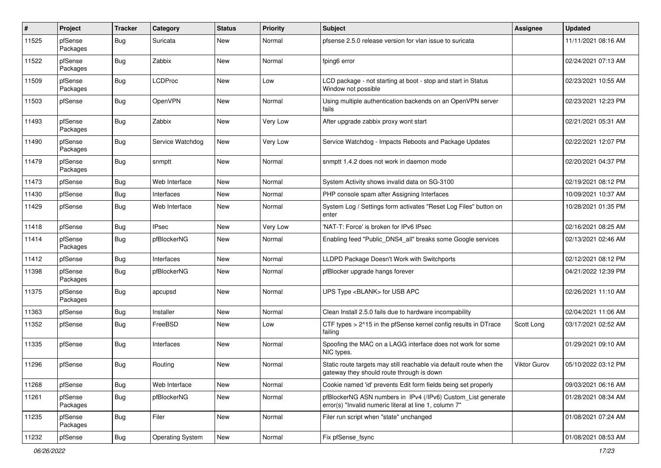| #     | Project             | <b>Tracker</b> | Category                | <b>Status</b> | <b>Priority</b> | <b>Subject</b>                                                                                                         | Assignee     | <b>Updated</b>      |
|-------|---------------------|----------------|-------------------------|---------------|-----------------|------------------------------------------------------------------------------------------------------------------------|--------------|---------------------|
| 11525 | pfSense<br>Packages | Bug            | Suricata                | New           | Normal          | pfsense 2.5.0 release version for vlan issue to suricata                                                               |              | 11/11/2021 08:16 AM |
| 11522 | pfSense<br>Packages | Bug            | Zabbix                  | New           | Normal          | fping6 error                                                                                                           |              | 02/24/2021 07:13 AM |
| 11509 | pfSense<br>Packages | Bug            | <b>LCDProc</b>          | <b>New</b>    | Low             | LCD package - not starting at boot - stop and start in Status<br>Window not possible                                   |              | 02/23/2021 10:55 AM |
| 11503 | pfSense             | Bug            | OpenVPN                 | <b>New</b>    | Normal          | Using multiple authentication backends on an OpenVPN server<br>fails                                                   |              | 02/23/2021 12:23 PM |
| 11493 | pfSense<br>Packages | Bug            | Zabbix                  | New           | Very Low        | After upgrade zabbix proxy wont start                                                                                  |              | 02/21/2021 05:31 AM |
| 11490 | pfSense<br>Packages | Bug            | Service Watchdog        | New           | Very Low        | Service Watchdog - Impacts Reboots and Package Updates                                                                 |              | 02/22/2021 12:07 PM |
| 11479 | pfSense<br>Packages | Bug            | snmptt                  | New           | Normal          | snmptt 1.4.2 does not work in daemon mode                                                                              |              | 02/20/2021 04:37 PM |
| 11473 | pfSense             | Bug            | Web Interface           | <b>New</b>    | Normal          | System Activity shows invalid data on SG-3100                                                                          |              | 02/19/2021 08:12 PM |
| 11430 | pfSense             | Bug            | Interfaces              | <b>New</b>    | Normal          | PHP console spam after Assigning Interfaces                                                                            |              | 10/09/2021 10:37 AM |
| 11429 | pfSense             | Bug            | Web Interface           | New           | Normal          | System Log / Settings form activates "Reset Log Files" button on<br>enter                                              |              | 10/28/2021 01:35 PM |
| 11418 | pfSense             | Bug            | <b>IPsec</b>            | New           | Very Low        | 'NAT-T: Force' is broken for IPv6 IPsec                                                                                |              | 02/16/2021 08:25 AM |
| 11414 | pfSense<br>Packages | <b>Bug</b>     | pfBlockerNG             | New           | Normal          | Enabling feed "Public_DNS4_all" breaks some Google services                                                            |              | 02/13/2021 02:46 AM |
| 11412 | pfSense             | Bug            | Interfaces              | New           | Normal          | LLDPD Package Doesn't Work with Switchports                                                                            |              | 02/12/2021 08:12 PM |
| 11398 | pfSense<br>Packages | <b>Bug</b>     | pfBlockerNG             | New           | Normal          | pfBlocker upgrade hangs forever                                                                                        |              | 04/21/2022 12:39 PM |
| 11375 | pfSense<br>Packages | Bug            | apcupsd                 | New           | Normal          | UPS Type <blank> for USB APC</blank>                                                                                   |              | 02/26/2021 11:10 AM |
| 11363 | pfSense             | Bug            | Installer               | New           | Normal          | Clean Install 2.5.0 fails due to hardware incompability                                                                |              | 02/04/2021 11:06 AM |
| 11352 | pfSense             | Bug            | FreeBSD                 | New           | Low             | CTF types $> 215$ in the pfSense kernel config results in DTrace<br>failing                                            | Scott Long   | 03/17/2021 02:52 AM |
| 11335 | pfSense             | Bug            | Interfaces              | New           | Normal          | Spoofing the MAC on a LAGG interface does not work for some<br>NIC types.                                              |              | 01/29/2021 09:10 AM |
| 11296 | pfSense             | Bug            | Routing                 | New           | Normal          | Static route targets may still reachable via default route when the<br>gateway they should route through is down       | Viktor Gurov | 05/10/2022 03:12 PM |
| 11268 | pfSense             | Bug            | Web Interface           | <b>New</b>    | Normal          | Cookie named 'id' prevents Edit form fields being set properly                                                         |              | 09/03/2021 06:16 AM |
| 11261 | pfSense<br>Packages | Bug            | pfBlockerNG             | New           | Normal          | pfBlockerNG ASN numbers in IPv4 (/IPv6) Custom_List generate<br>error(s) "Invalid numeric literal at line 1, column 7" |              | 01/28/2021 08:34 AM |
| 11235 | pfSense<br>Packages | <b>Bug</b>     | Filer                   | New           | Normal          | Filer run script when "state" unchanged                                                                                |              | 01/08/2021 07:24 AM |
| 11232 | pfSense             | Bug            | <b>Operating System</b> | New           | Normal          | Fix pfSense_fsync                                                                                                      |              | 01/08/2021 08:53 AM |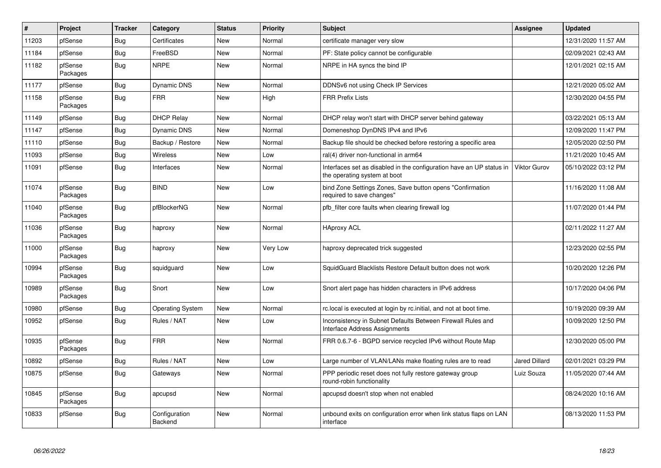| $\vert$ # | <b>Project</b>      | <b>Tracker</b> | Category                 | <b>Status</b> | <b>Priority</b> | <b>Subject</b>                                                                                       | <b>Assignee</b>      | <b>Updated</b>      |
|-----------|---------------------|----------------|--------------------------|---------------|-----------------|------------------------------------------------------------------------------------------------------|----------------------|---------------------|
| 11203     | pfSense             | <b>Bug</b>     | Certificates             | <b>New</b>    | Normal          | certificate manager very slow                                                                        |                      | 12/31/2020 11:57 AM |
| 11184     | pfSense             | <b>Bug</b>     | FreeBSD                  | <b>New</b>    | Normal          | PF: State policy cannot be configurable                                                              |                      | 02/09/2021 02:43 AM |
| 11182     | pfSense<br>Packages | <b>Bug</b>     | <b>NRPE</b>              | <b>New</b>    | Normal          | NRPE in HA syncs the bind IP                                                                         |                      | 12/01/2021 02:15 AM |
| 11177     | pfSense             | <b>Bug</b>     | Dynamic DNS              | <b>New</b>    | Normal          | DDNSv6 not using Check IP Services                                                                   |                      | 12/21/2020 05:02 AM |
| 11158     | pfSense<br>Packages | <b>Bug</b>     | <b>FRR</b>               | New           | High            | <b>FRR Prefix Lists</b>                                                                              |                      | 12/30/2020 04:55 PM |
| 11149     | pfSense             | Bug            | <b>DHCP Relay</b>        | <b>New</b>    | Normal          | DHCP relay won't start with DHCP server behind gateway                                               |                      | 03/22/2021 05:13 AM |
| 11147     | pfSense             | Bug            | <b>Dynamic DNS</b>       | <b>New</b>    | Normal          | Domeneshop DynDNS IPv4 and IPv6                                                                      |                      | 12/09/2020 11:47 PM |
| 11110     | pfSense             | <b>Bug</b>     | Backup / Restore         | New           | Normal          | Backup file should be checked before restoring a specific area                                       |                      | 12/05/2020 02:50 PM |
| 11093     | pfSense             | <b>Bug</b>     | <b>Wireless</b>          | <b>New</b>    | Low             | ral(4) driver non-functional in arm64                                                                |                      | 11/21/2020 10:45 AM |
| 11091     | pfSense             | <b>Bug</b>     | Interfaces               | <b>New</b>    | Normal          | Interfaces set as disabled in the configuration have an UP status in<br>the operating system at boot | <b>Viktor Gurov</b>  | 05/10/2022 03:12 PM |
| 11074     | pfSense<br>Packages | Bug            | <b>BIND</b>              | New           | Low             | bind Zone Settings Zones, Save button opens "Confirmation<br>required to save changes"               |                      | 11/16/2020 11:08 AM |
| 11040     | pfSense<br>Packages | <b>Bug</b>     | pfBlockerNG              | <b>New</b>    | Normal          | pfb filter core faults when clearing firewall log                                                    |                      | 11/07/2020 01:44 PM |
| 11036     | pfSense<br>Packages | Bug            | haproxy                  | New           | Normal          | <b>HAproxy ACL</b>                                                                                   |                      | 02/11/2022 11:27 AM |
| 11000     | pfSense<br>Packages | Bug            | haproxy                  | <b>New</b>    | Very Low        | haproxy deprecated trick suggested                                                                   |                      | 12/23/2020 02:55 PM |
| 10994     | pfSense<br>Packages | <b>Bug</b>     | squidguard               | New           | Low             | SquidGuard Blacklists Restore Default button does not work                                           |                      | 10/20/2020 12:26 PM |
| 10989     | pfSense<br>Packages | Bug            | Snort                    | New           | Low             | Snort alert page has hidden characters in IPv6 address                                               |                      | 10/17/2020 04:06 PM |
| 10980     | pfSense             | <b>Bug</b>     | <b>Operating System</b>  | <b>New</b>    | Normal          | rc.local is executed at login by rc.initial, and not at boot time.                                   |                      | 10/19/2020 09:39 AM |
| 10952     | pfSense             | Bug            | Rules / NAT              | New           | Low             | Inconsistency in Subnet Defaults Between Firewall Rules and<br>Interface Address Assignments         |                      | 10/09/2020 12:50 PM |
| 10935     | pfSense<br>Packages | Bug            | <b>FRR</b>               | <b>New</b>    | Normal          | FRR 0.6.7-6 - BGPD service recycled IPv6 without Route Map                                           |                      | 12/30/2020 05:00 PM |
| 10892     | pfSense             | Bug            | Rules / NAT              | New           | Low             | Large number of VLAN/LANs make floating rules are to read                                            | <b>Jared Dillard</b> | 02/01/2021 03:29 PM |
| 10875     | pfSense             | <b>Bug</b>     | Gateways                 | <b>New</b>    | Normal          | PPP periodic reset does not fully restore gateway group<br>round-robin functionality                 | Luiz Souza           | 11/05/2020 07:44 AM |
| 10845     | pfSense<br>Packages | <b>Bug</b>     | apcupsd                  | <b>New</b>    | Normal          | apcupsd doesn't stop when not enabled                                                                |                      | 08/24/2020 10:16 AM |
| 10833     | pfSense             | Bug            | Configuration<br>Backend | <b>New</b>    | Normal          | unbound exits on configuration error when link status flaps on LAN<br>interface                      |                      | 08/13/2020 11:53 PM |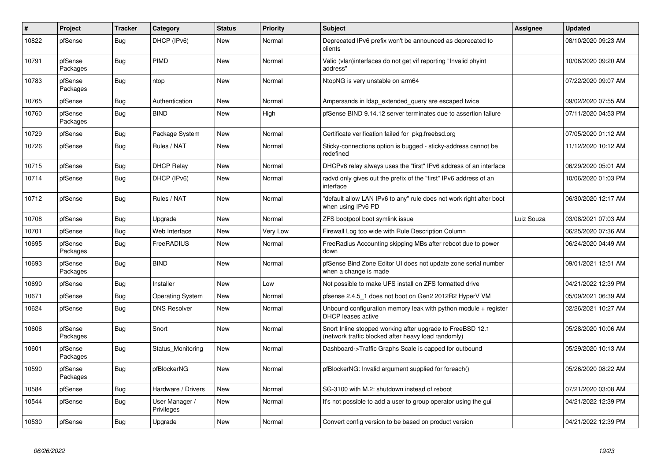| $\vert$ # | Project             | <b>Tracker</b> | Category                     | <b>Status</b> | <b>Priority</b> | <b>Subject</b>                                                                                                    | <b>Assignee</b> | <b>Updated</b>      |
|-----------|---------------------|----------------|------------------------------|---------------|-----------------|-------------------------------------------------------------------------------------------------------------------|-----------------|---------------------|
| 10822     | pfSense             | <b>Bug</b>     | DHCP (IPv6)                  | New           | Normal          | Deprecated IPv6 prefix won't be announced as deprecated to<br>clients                                             |                 | 08/10/2020 09:23 AM |
| 10791     | pfSense<br>Packages | <b>Bug</b>     | PIMD                         | New           | Normal          | Valid (vlan)interfaces do not get vif reporting "Invalid phyint<br>address"                                       |                 | 10/06/2020 09:20 AM |
| 10783     | pfSense<br>Packages | Bug            | ntop                         | <b>New</b>    | Normal          | NtopNG is very unstable on arm64                                                                                  |                 | 07/22/2020 09:07 AM |
| 10765     | pfSense             | <b>Bug</b>     | Authentication               | New           | Normal          | Ampersands in Idap_extended_query are escaped twice                                                               |                 | 09/02/2020 07:55 AM |
| 10760     | pfSense<br>Packages | Bug            | <b>BIND</b>                  | New           | High            | pfSense BIND 9.14.12 server terminates due to assertion failure                                                   |                 | 07/11/2020 04:53 PM |
| 10729     | pfSense             | <b>Bug</b>     | Package System               | <b>New</b>    | Normal          | Certificate verification failed for pkg.freebsd.org                                                               |                 | 07/05/2020 01:12 AM |
| 10726     | pfSense             | <b>Bug</b>     | Rules / NAT                  | New           | Normal          | Sticky-connections option is bugged - sticky-address cannot be<br>redefined                                       |                 | 11/12/2020 10:12 AM |
| 10715     | pfSense             | Bug            | <b>DHCP Relay</b>            | <b>New</b>    | Normal          | DHCPv6 relay always uses the "first" IPv6 address of an interface                                                 |                 | 06/29/2020 05:01 AM |
| 10714     | pfSense             | Bug            | DHCP (IPv6)                  | New           | Normal          | radvd only gives out the prefix of the "first" IPv6 address of an<br>interface                                    |                 | 10/06/2020 01:03 PM |
| 10712     | pfSense             | Bug            | Rules / NAT                  | New           | Normal          | default allow LAN IPv6 to any" rule does not work right after boot<br>when using IPv6 PD                          |                 | 06/30/2020 12:17 AM |
| 10708     | pfSense             | Bug            | Upgrade                      | <b>New</b>    | Normal          | ZFS bootpool boot symlink issue                                                                                   | Luiz Souza      | 03/08/2021 07:03 AM |
| 10701     | pfSense             | <b>Bug</b>     | Web Interface                | <b>New</b>    | Very Low        | Firewall Log too wide with Rule Description Column                                                                |                 | 06/25/2020 07:36 AM |
| 10695     | pfSense<br>Packages | Bug            | FreeRADIUS                   | New           | Normal          | FreeRadius Accounting skipping MBs after reboot due to power<br>down                                              |                 | 06/24/2020 04:49 AM |
| 10693     | pfSense<br>Packages | Bug            | <b>BIND</b>                  | <b>New</b>    | Normal          | pfSense Bind Zone Editor UI does not update zone serial number<br>when a change is made                           |                 | 09/01/2021 12:51 AM |
| 10690     | pfSense             | <b>Bug</b>     | <b>Installer</b>             | <b>New</b>    | Low             | Not possible to make UFS install on ZFS formatted drive                                                           |                 | 04/21/2022 12:39 PM |
| 10671     | pfSense             | Bug            | <b>Operating System</b>      | <b>New</b>    | Normal          | pfsense 2.4.5_1 does not boot on Gen2 2012R2 HyperV VM                                                            |                 | 05/09/2021 06:39 AM |
| 10624     | pfSense             | Bug            | <b>DNS Resolver</b>          | New           | Normal          | Unbound configuration memory leak with python module $+$ register<br><b>DHCP</b> leases active                    |                 | 02/26/2021 10:27 AM |
| 10606     | pfSense<br>Packages | Bug            | Snort                        | <b>New</b>    | Normal          | Snort Inline stopped working after upgrade to FreeBSD 12.1<br>(network traffic blocked after heavy load randomly) |                 | 05/28/2020 10:06 AM |
| 10601     | pfSense<br>Packages | <b>Bug</b>     | Status_Monitoring            | New           | Normal          | Dashboard->Traffic Graphs Scale is capped for outbound                                                            |                 | 05/29/2020 10:13 AM |
| 10590     | pfSense<br>Packages | Bug            | pfBlockerNG                  | New           | Normal          | pfBlockerNG: Invalid argument supplied for foreach()                                                              |                 | 05/26/2020 08:22 AM |
| 10584     | pfSense             | <b>Bug</b>     | Hardware / Drivers           | <b>New</b>    | Normal          | SG-3100 with M.2: shutdown instead of reboot                                                                      |                 | 07/21/2020 03:08 AM |
| 10544     | pfSense             | <b>Bug</b>     | User Manager /<br>Privileges | <b>New</b>    | Normal          | It's not possible to add a user to group operator using the gui                                                   |                 | 04/21/2022 12:39 PM |
| 10530     | pfSense             | Bug            | Upgrade                      | New           | Normal          | Convert config version to be based on product version                                                             |                 | 04/21/2022 12:39 PM |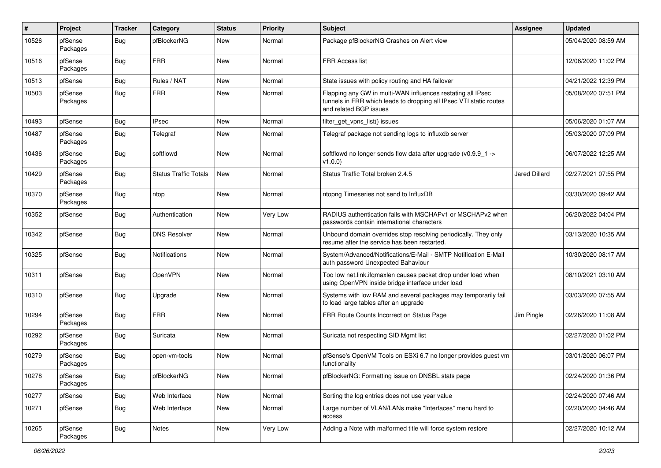| #     | Project             | <b>Tracker</b> | Category              | <b>Status</b> | <b>Priority</b> | <b>Subject</b>                                                                                                                                              | Assignee      | <b>Updated</b>      |
|-------|---------------------|----------------|-----------------------|---------------|-----------------|-------------------------------------------------------------------------------------------------------------------------------------------------------------|---------------|---------------------|
| 10526 | pfSense<br>Packages | Bug            | pfBlockerNG           | New           | Normal          | Package pfBlockerNG Crashes on Alert view                                                                                                                   |               | 05/04/2020 08:59 AM |
| 10516 | pfSense<br>Packages | Bug            | <b>FRR</b>            | New           | Normal          | <b>FRR Access list</b>                                                                                                                                      |               | 12/06/2020 11:02 PM |
| 10513 | pfSense             | Bug            | Rules / NAT           | <b>New</b>    | Normal          | State issues with policy routing and HA failover                                                                                                            |               | 04/21/2022 12:39 PM |
| 10503 | pfSense<br>Packages | Bug            | <b>FRR</b>            | New           | Normal          | Flapping any GW in multi-WAN influences restating all IPsec<br>tunnels in FRR which leads to dropping all IPsec VTI static routes<br>and related BGP issues |               | 05/08/2020 07:51 PM |
| 10493 | pfSense             | Bug            | <b>IPsec</b>          | New           | Normal          | filter get vpns list() issues                                                                                                                               |               | 05/06/2020 01:07 AM |
| 10487 | pfSense<br>Packages | Bug            | Telegraf              | New           | Normal          | Telegraf package not sending logs to influxdb server                                                                                                        |               | 05/03/2020 07:09 PM |
| 10436 | pfSense<br>Packages | Bug            | softflowd             | New           | Normal          | softflowd no longer sends flow data after upgrade (v0.9.9_1 -><br>v1.0.0)                                                                                   |               | 06/07/2022 12:25 AM |
| 10429 | pfSense<br>Packages | Bug            | Status Traffic Totals | <b>New</b>    | Normal          | Status Traffic Total broken 2.4.5                                                                                                                           | Jared Dillard | 02/27/2021 07:55 PM |
| 10370 | pfSense<br>Packages | Bug            | ntop                  | <b>New</b>    | Normal          | ntopng Timeseries not send to InfluxDB                                                                                                                      |               | 03/30/2020 09:42 AM |
| 10352 | pfSense             | Bug            | Authentication        | <b>New</b>    | Very Low        | RADIUS authentication fails with MSCHAPv1 or MSCHAPv2 when<br>passwords contain international characters                                                    |               | 06/20/2022 04:04 PM |
| 10342 | pfSense             | Bug            | <b>DNS Resolver</b>   | <b>New</b>    | Normal          | Unbound domain overrides stop resolving periodically. They only<br>resume after the service has been restarted.                                             |               | 03/13/2020 10:35 AM |
| 10325 | pfSense             | Bug            | Notifications         | New           | Normal          | System/Advanced/Notifications/E-Mail - SMTP Notification E-Mail<br>auth password Unexpected Bahaviour                                                       |               | 10/30/2020 08:17 AM |
| 10311 | pfSense             | Bug            | OpenVPN               | <b>New</b>    | Normal          | Too low net.link.ifqmaxlen causes packet drop under load when<br>using OpenVPN inside bridge interface under load                                           |               | 08/10/2021 03:10 AM |
| 10310 | pfSense             | Bug            | Upgrade               | New           | Normal          | Systems with low RAM and several packages may temporarily fail<br>to load large tables after an upgrade                                                     |               | 03/03/2020 07:55 AM |
| 10294 | pfSense<br>Packages | Bug            | <b>FRR</b>            | New           | Normal          | FRR Route Counts Incorrect on Status Page                                                                                                                   | Jim Pingle    | 02/26/2020 11:08 AM |
| 10292 | pfSense<br>Packages | Bug            | Suricata              | <b>New</b>    | Normal          | Suricata not respecting SID Mgmt list                                                                                                                       |               | 02/27/2020 01:02 PM |
| 10279 | pfSense<br>Packages | Bug            | open-vm-tools         | New           | Normal          | pfSense's OpenVM Tools on ESXi 6.7 no longer provides guest vm<br>functionality                                                                             |               | 03/01/2020 06:07 PM |
| 10278 | pfSense<br>Packages | Bug            | pfBlockerNG           | New           | Normal          | pfBlockerNG: Formatting issue on DNSBL stats page                                                                                                           |               | 02/24/2020 01:36 PM |
| 10277 | pfSense             | Bug            | Web Interface         | New           | Normal          | Sorting the log entries does not use year value                                                                                                             |               | 02/24/2020 07:46 AM |
| 10271 | pfSense             | Bug            | Web Interface         | New           | Normal          | Large number of VLAN/LANs make "Interfaces" menu hard to<br>access                                                                                          |               | 02/20/2020 04:46 AM |
| 10265 | pfSense<br>Packages | <b>Bug</b>     | Notes                 | New           | Very Low        | Adding a Note with malformed title will force system restore                                                                                                |               | 02/27/2020 10:12 AM |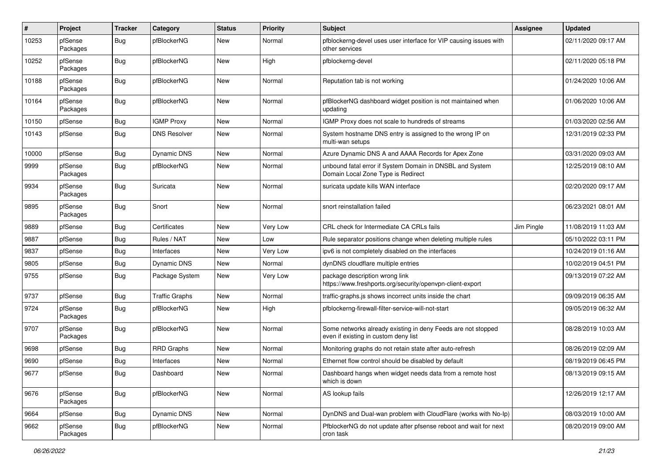| $\pmb{\#}$ | Project             | <b>Tracker</b> | Category              | <b>Status</b> | <b>Priority</b> | <b>Subject</b>                                                                                       | <b>Assignee</b> | <b>Updated</b>      |
|------------|---------------------|----------------|-----------------------|---------------|-----------------|------------------------------------------------------------------------------------------------------|-----------------|---------------------|
| 10253      | pfSense<br>Packages | Bug            | pfBlockerNG           | <b>New</b>    | Normal          | pfblockerng-devel uses user interface for VIP causing issues with<br>other services                  |                 | 02/11/2020 09:17 AM |
| 10252      | pfSense<br>Packages | Bug            | pfBlockerNG           | New           | High            | pfblockerng-devel                                                                                    |                 | 02/11/2020 05:18 PM |
| 10188      | pfSense<br>Packages | <b>Bug</b>     | pfBlockerNG           | New           | Normal          | Reputation tab is not working                                                                        |                 | 01/24/2020 10:06 AM |
| 10164      | pfSense<br>Packages | Bug            | pfBlockerNG           | New           | Normal          | pfBlockerNG dashboard widget position is not maintained when<br>updating                             |                 | 01/06/2020 10:06 AM |
| 10150      | pfSense             | Bug            | <b>IGMP Proxy</b>     | New           | Normal          | IGMP Proxy does not scale to hundreds of streams                                                     |                 | 01/03/2020 02:56 AM |
| 10143      | pfSense             | Bug            | <b>DNS Resolver</b>   | New           | Normal          | System hostname DNS entry is assigned to the wrong IP on<br>multi-wan setups                         |                 | 12/31/2019 02:33 PM |
| 10000      | pfSense             | <b>Bug</b>     | Dynamic DNS           | New           | Normal          | Azure Dynamic DNS A and AAAA Records for Apex Zone                                                   |                 | 03/31/2020 09:03 AM |
| 9999       | pfSense<br>Packages | <b>Bug</b>     | pfBlockerNG           | New           | Normal          | unbound fatal error if System Domain in DNSBL and System<br>Domain Local Zone Type is Redirect       |                 | 12/25/2019 08:10 AM |
| 9934       | pfSense<br>Packages | Bug            | Suricata              | New           | Normal          | suricata update kills WAN interface                                                                  |                 | 02/20/2020 09:17 AM |
| 9895       | pfSense<br>Packages | <b>Bug</b>     | Snort                 | New           | Normal          | snort reinstallation failed                                                                          |                 | 06/23/2021 08:01 AM |
| 9889       | pfSense             | Bug            | Certificates          | New           | Very Low        | CRL check for Intermediate CA CRLs fails                                                             | Jim Pingle      | 11/08/2019 11:03 AM |
| 9887       | pfSense             | Bug            | Rules / NAT           | New           | Low             | Rule separator positions change when deleting multiple rules                                         |                 | 05/10/2022 03:11 PM |
| 9837       | pfSense             | <b>Bug</b>     | Interfaces            | New           | Very Low        | ipv6 is not completely disabled on the interfaces                                                    |                 | 10/24/2019 01:16 AM |
| 9805       | pfSense             | Bug            | Dynamic DNS           | New           | Normal          | dynDNS cloudflare multiple entries                                                                   |                 | 10/02/2019 04:51 PM |
| 9755       | pfSense             | Bug            | Package System        | New           | Very Low        | package description wrong link<br>https://www.freshports.org/security/openvpn-client-export          |                 | 09/13/2019 07:22 AM |
| 9737       | pfSense             | <b>Bug</b>     | <b>Traffic Graphs</b> | New           | Normal          | traffic-graphs.js shows incorrect units inside the chart                                             |                 | 09/09/2019 06:35 AM |
| 9724       | pfSense<br>Packages | Bug            | pfBlockerNG           | New           | High            | pfblockerng-firewall-filter-service-will-not-start                                                   |                 | 09/05/2019 06:32 AM |
| 9707       | pfSense<br>Packages | Bug            | pfBlockerNG           | New           | Normal          | Some networks already existing in deny Feeds are not stopped<br>even if existing in custom deny list |                 | 08/28/2019 10:03 AM |
| 9698       | pfSense             | Bug            | <b>RRD Graphs</b>     | New           | Normal          | Monitoring graphs do not retain state after auto-refresh                                             |                 | 08/26/2019 02:09 AM |
| 9690       | pfSense             | <b>Bug</b>     | Interfaces            | New           | Normal          | Ethernet flow control should be disabled by default                                                  |                 | 08/19/2019 06:45 PM |
| 9677       | pfSense             | Bug            | Dashboard             | New           | Normal          | Dashboard hangs when widget needs data from a remote host<br>which is down                           |                 | 08/13/2019 09:15 AM |
| 9676       | pfSense<br>Packages | <b>Bug</b>     | pfBlockerNG           | New           | Normal          | AS lookup fails                                                                                      |                 | 12/26/2019 12:17 AM |
| 9664       | pfSense             | <b>Bug</b>     | <b>Dynamic DNS</b>    | New           | Normal          | DynDNS and Dual-wan problem with CloudFlare (works with No-Ip)                                       |                 | 08/03/2019 10:00 AM |
| 9662       | pfSense<br>Packages | <b>Bug</b>     | pfBlockerNG           | New           | Normal          | PfblockerNG do not update after pfsense reboot and wait for next<br>cron task                        |                 | 08/20/2019 09:00 AM |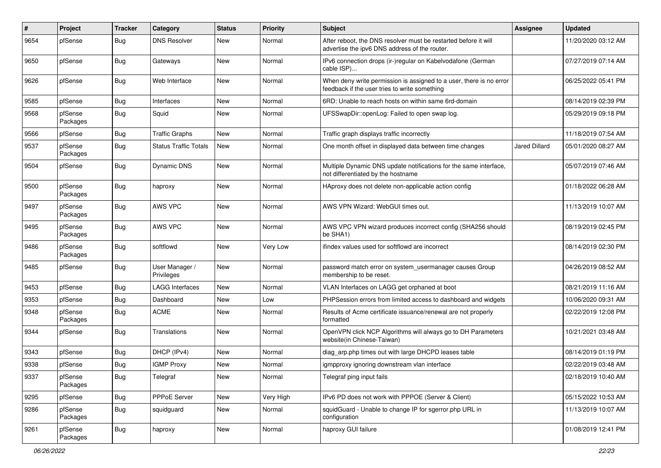| $\sharp$ | Project             | <b>Tracker</b> | Category                     | <b>Status</b> | <b>Priority</b> | <b>Subject</b>                                                                                                       | Assignee      | <b>Updated</b>      |
|----------|---------------------|----------------|------------------------------|---------------|-----------------|----------------------------------------------------------------------------------------------------------------------|---------------|---------------------|
| 9654     | pfSense             | Bug            | <b>DNS Resolver</b>          | New           | Normal          | After reboot, the DNS resolver must be restarted before it will<br>advertise the ipv6 DNS address of the router.     |               | 11/20/2020 03:12 AM |
| 9650     | pfSense             | Bug            | Gateways                     | New           | Normal          | IPv6 connection drops (ir-)regular on Kabelvodafone (German<br>cable ISP)                                            |               | 07/27/2019 07:14 AM |
| 9626     | pfSense             | Bug            | Web Interface                | New           | Normal          | When deny write permission is assigned to a user, there is no error<br>feedback if the user tries to write something |               | 06/25/2022 05:41 PM |
| 9585     | pfSense             | Bug            | Interfaces                   | <b>New</b>    | Normal          | 6RD: Unable to reach hosts on within same 6rd-domain                                                                 |               | 08/14/2019 02:39 PM |
| 9568     | pfSense<br>Packages | <b>Bug</b>     | Squid                        | New           | Normal          | UFSSwapDir::openLog: Failed to open swap log.                                                                        |               | 05/29/2019 09:18 PM |
| 9566     | pfSense             | Bug            | <b>Traffic Graphs</b>        | New           | Normal          | Traffic graph displays traffic incorrectly                                                                           |               | 11/18/2019 07:54 AM |
| 9537     | pfSense<br>Packages | <b>Bug</b>     | <b>Status Traffic Totals</b> | New           | Normal          | One month offset in displayed data between time changes                                                              | Jared Dillard | 05/01/2020 08:27 AM |
| 9504     | pfSense             | Bug            | <b>Dynamic DNS</b>           | New           | Normal          | Multiple Dynamic DNS update notifications for the same interface,<br>not differentiated by the hostname              |               | 05/07/2019 07:46 AM |
| 9500     | pfSense<br>Packages | <b>Bug</b>     | haproxy                      | <b>New</b>    | Normal          | HAproxy does not delete non-applicable action config                                                                 |               | 01/18/2022 06:28 AM |
| 9497     | pfSense<br>Packages | Bug            | AWS VPC                      | New           | Normal          | AWS VPN Wizard: WebGUI times out.                                                                                    |               | 11/13/2019 10:07 AM |
| 9495     | pfSense<br>Packages | Bug            | AWS VPC                      | <b>New</b>    | Normal          | AWS VPC VPN wizard produces incorrect config (SHA256 should<br>be SHA1)                                              |               | 08/19/2019 02:45 PM |
| 9486     | pfSense<br>Packages | Bug            | softflowd                    | <b>New</b>    | Very Low        | ifindex values used for softflowd are incorrect                                                                      |               | 08/14/2019 02:30 PM |
| 9485     | pfSense             | Bug            | User Manager /<br>Privileges | New           | Normal          | password match error on system_usermanager causes Group<br>membership to be reset.                                   |               | 04/26/2019 08:52 AM |
| 9453     | pfSense             | Bug            | <b>LAGG Interfaces</b>       | New           | Normal          | VLAN Interfaces on LAGG get orphaned at boot                                                                         |               | 08/21/2019 11:16 AM |
| 9353     | pfSense             | Bug            | Dashboard                    | New           | Low             | PHPSession errors from limited access to dashboard and widgets                                                       |               | 10/06/2020 09:31 AM |
| 9348     | pfSense<br>Packages | <b>Bug</b>     | <b>ACME</b>                  | New           | Normal          | Results of Acme certificate issuance/renewal are not properly<br>formatted                                           |               | 02/22/2019 12:08 PM |
| 9344     | pfSense             | Bug            | Translations                 | New           | Normal          | OpenVPN click NCP Algorithms will always go to DH Parameters<br>website(in Chinese-Taiwan)                           |               | 10/21/2021 03:48 AM |
| 9343     | pfSense             | Bug            | DHCP (IPv4)                  | New           | Normal          | diag_arp.php times out with large DHCPD leases table                                                                 |               | 08/14/2019 01:19 PM |
| 9338     | pfSense             | Bug            | <b>IGMP Proxy</b>            | New           | Normal          | igmpproxy ignoring downstream vlan interface                                                                         |               | 02/22/2019 03:48 AM |
| 9337     | pfSense<br>Packages | Bug            | Telegraf                     | New           | Normal          | Telegraf ping input fails                                                                                            |               | 02/18/2019 10:40 AM |
| 9295     | pfSense             | <b>Bug</b>     | PPPoE Server                 | New           | Very High       | IPv6 PD does not work with PPPOE (Server & Client)                                                                   |               | 05/15/2022 10:53 AM |
| 9286     | pfSense<br>Packages | Bug            | squidguard                   | New           | Normal          | squidGuard - Unable to change IP for sgerror.php URL in<br>configuration                                             |               | 11/13/2019 10:07 AM |
| 9261     | pfSense<br>Packages | <b>Bug</b>     | haproxy                      | New           | Normal          | haproxy GUI failure                                                                                                  |               | 01/08/2019 12:41 PM |